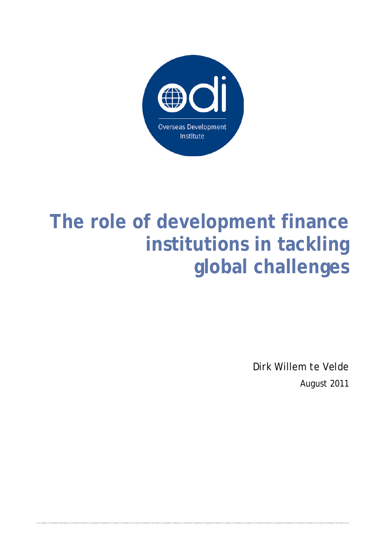

# **The role of development finance institutions in tackling global challenges**

Dirk Willem te Velde August 2011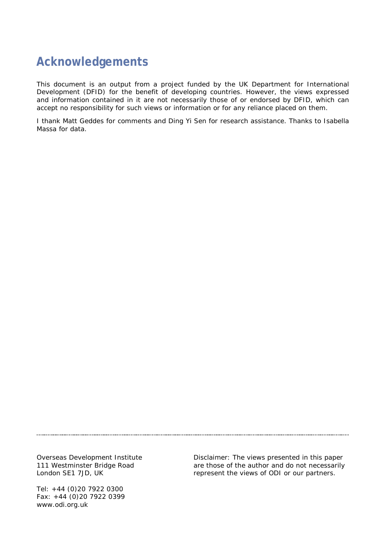### **Acknowledgements**

This document is an output from a project funded by the UK Department for International Development (DFID) for the benefit of developing countries. However, the views expressed and information contained in it are not necessarily those of or endorsed by DFID, which can accept no responsibility for such views or information or for any reliance placed on them.

I thank Matt Geddes for comments and Ding Yi Sen for research assistance. Thanks to Isabella Massa for data.

Overseas Development Institute 111 Westminster Bridge Road London SE1 7JD, UK

Tel: +44 (0)20 7922 0300 Fax: +44 (0)20 7922 0399 www.odi.org.uk

Disclaimer: The views presented in this paper are those of the author and do not necessarily represent the views of ODI or our partners.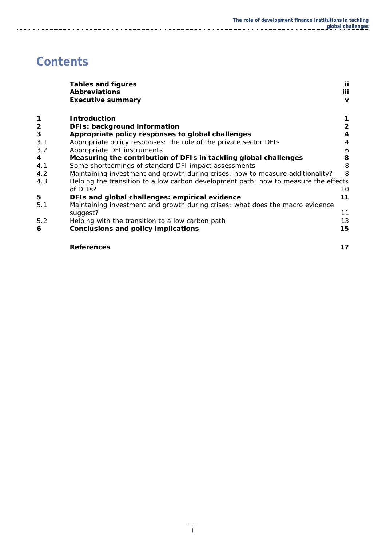## **Contents**

|                         | <b>Tables and figures</b>                                                           | Ιi                  |
|-------------------------|-------------------------------------------------------------------------------------|---------------------|
|                         | <b>Abbreviations</b><br><b>Executive summary</b>                                    | iii<br>$\mathbf{v}$ |
|                         |                                                                                     |                     |
| 1                       | <b>Introduction</b>                                                                 |                     |
| $\overline{\mathbf{c}}$ | DFIs: background information                                                        | $\overline{2}$      |
| 3                       | Appropriate policy responses to global challenges                                   |                     |
| 3.1                     | Appropriate policy responses: the role of the private sector DFIs                   | 4                   |
| 3.2                     | Appropriate DFI instruments                                                         | 6                   |
| 4                       | Measuring the contribution of DFIs in tackling global challenges                    | 8                   |
| 4.1                     | Some shortcomings of standard DFI impact assessments                                | 8                   |
| 4.2                     | Maintaining investment and growth during crises: how to measure additionality?      | 8                   |
| 4.3                     | Helping the transition to a low carbon development path: how to measure the effects |                     |
|                         | of DFIs?                                                                            | 10                  |
| 5                       | DFIs and global challenges: empirical evidence                                      | 11                  |
| 5.1                     | Maintaining investment and growth during crises: what does the macro evidence       |                     |
|                         | suggest?                                                                            | 11                  |
| 5.2                     | Helping with the transition to a low carbon path                                    | 13                  |
| 6                       | <b>Conclusions and policy implications</b>                                          | 15                  |
|                         | <b>References</b>                                                                   | 17                  |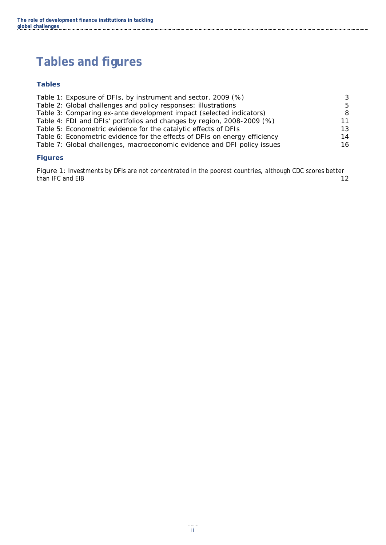## <span id="page-3-0"></span>**Tables and figures**

#### **Tables**

| Table 1: Exposure of DFIs, by instrument and sector, 2009 (%)              | -3 |
|----------------------------------------------------------------------------|----|
| Table 2: Global challenges and policy responses: illustrations             | .5 |
| Table 3: Comparing ex-ante development impact (selected indicators)        | -8 |
| Table 4: FDI and DFIs' portfolios and changes by region, 2008-2009 (%)     | 11 |
| Table 5: Econometric evidence for the catalytic effects of DFIs            | 13 |
| Table 6: Econometric evidence for the effects of DFIs on energy efficiency | 14 |
| Table 7: Global challenges, macroeconomic evidence and DFI policy issues   | 16 |
|                                                                            |    |

#### **Figures**

Figure 1: [Investments by DFIs are not concentrated in the poorest countries, although CDC scores better](#page-18-0)  [than IFC and EIB](#page-18-0) [12](#page-18-0)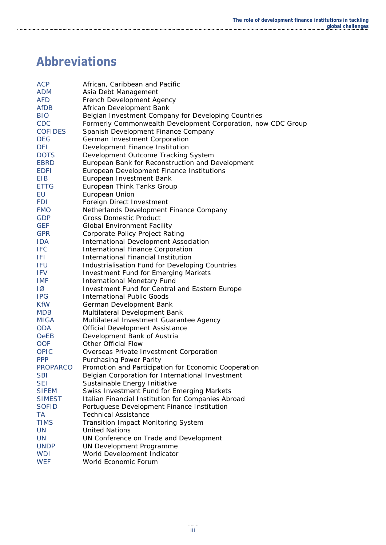## <span id="page-4-0"></span>**Abbreviations**

| <b>ACP</b>                | African, Caribbean and Pacific                               |
|---------------------------|--------------------------------------------------------------|
| <b>ADM</b>                | Asia Debt Management                                         |
| <b>AFD</b>                | French Development Agency                                    |
| <b>AfDB</b>               | African Development Bank                                     |
| <b>BIO</b>                | Belgian Investment Company for Developing Countries          |
| <b>CDC</b>                | Formerly Commonwealth Development Corporation, now CDC Group |
| <b>COFIDES</b>            | Spanish Development Finance Company                          |
| <b>DEG</b>                | German Investment Corporation                                |
| <b>DFI</b>                | Development Finance Institution                              |
| <b>DOTS</b>               | Development Outcome Tracking System                          |
| <b>EBRD</b>               | European Bank for Reconstruction and Development             |
| <b>EDFI</b>               | European Development Finance Institutions                    |
| EIB                       | European Investment Bank                                     |
| <b>ETTG</b>               | European Think Tanks Group                                   |
| EU                        | European Union                                               |
| <b>FDI</b>                | Foreign Direct Investment                                    |
| <b>FMO</b>                | Netherlands Development Finance Company                      |
| <b>GDP</b>                | <b>Gross Domestic Product</b>                                |
| <b>GEF</b>                | <b>Global Environment Facility</b>                           |
| <b>GPR</b>                | Corporate Policy Project Rating                              |
| <b>IDA</b>                | International Development Association                        |
| <b>IFC</b>                | International Finance Corporation                            |
| IFI.                      | International Financial Institution                          |
| <b>IFU</b>                | Industrialisation Fund for Developing Countries              |
| <b>IFV</b>                | <b>Investment Fund for Emerging Markets</b>                  |
| <b>IMF</b>                | <b>International Monetary Fund</b>                           |
| $\overline{1\varnothing}$ | Investment Fund for Central and Eastern Europe               |
| <b>IPG</b>                | <b>International Public Goods</b>                            |
| <b>KfW</b>                | German Development Bank                                      |
| <b>MDB</b>                | Multilateral Development Bank                                |
| <b>MIGA</b>               | Multilateral Investment Guarantee Agency                     |
| <b>ODA</b>                | <b>Official Development Assistance</b>                       |
| <b>OeEB</b>               | Development Bank of Austria                                  |
| <b>OOF</b>                | <b>Other Official Flow</b>                                   |
| <b>OPIC</b>               | Overseas Private Investment Corporation                      |
| <b>PPP</b>                | <b>Purchasing Power Parity</b>                               |
| <b>PROPARCO</b>           | Promotion and Participation for Economic Cooperation         |
| <b>SBI</b>                | Belgian Corporation for International Investment             |
| <b>SEI</b>                | Sustainable Energy Initiative                                |
| <b>SIFEM</b>              | Swiss Investment Fund for Emerging Markets                   |
| <b>SIMEST</b>             | Italian Financial Institution for Companies Abroad           |
| <b>SOFID</b>              | Portuguese Development Finance Institution                   |
| <b>TA</b>                 | <b>Technical Assistance</b>                                  |
| <b>TIMS</b>               | Transition Impact Monitoring System                          |
| <b>UN</b>                 | <b>United Nations</b>                                        |
| <b>UN</b>                 | UN Conference on Trade and Development                       |
| <b>UNDP</b>               | UN Development Programme                                     |
| <b>WDI</b>                | World Development Indicator                                  |
| <b>WEF</b>                | World Economic Forum                                         |
|                           |                                                              |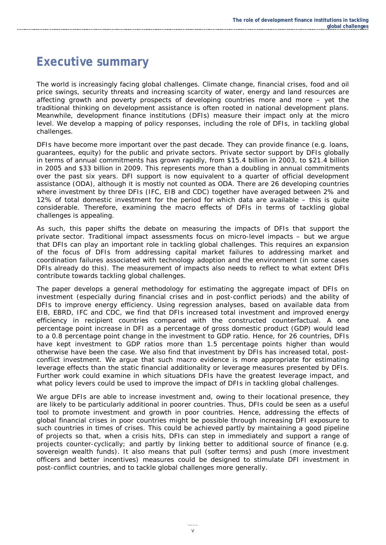### <span id="page-6-0"></span>**Executive summary**

The world is increasingly facing global challenges. Climate change, financial crises, food and oil price swings, security threats and increasing scarcity of water, energy and land resources are affecting growth and poverty prospects of developing countries more and more – yet the traditional thinking on development assistance is often rooted in national development plans. Meanwhile, development finance institutions (DFIs) measure their impact only at the micro level. We develop a mapping of policy responses, including the role of DFIs, in tackling global challenges.

DFIs have become more important over the past decade. They can provide finance (e.g. loans, guarantees, equity) for the public and private sectors. Private sector support by DFIs globally in terms of annual commitments has grown rapidly, from \$15.4 billion in 2003, to \$21.4 billion in 2005 and \$33 billion in 2009. This represents more than a doubling in annual commitments over the past six years. DFI support is now equivalent to a quarter of official development assistance (ODA), although it is mostly not counted as ODA. There are 26 developing countries where investment by three DFIs (IFC, EIB and CDC) together have averaged between 2% and 12% of total domestic investment for the period for which data are available – this is quite considerable. Therefore, examining the *macro* effects of DFIs in terms of tackling global challenges is appealing.

As such, this paper shifts the debate on measuring the impacts of DFIs that support the private sector. Traditional impact assessments focus on micro-level impacts – but we argue that DFIs can play an important role in tackling global challenges. This requires an expansion of the focus of DFIs from addressing capital market failures to addressing market and coordination failures associated with technology adoption and the environment (in some cases DFIs already do this). The measurement of impacts also needs to reflect to what extent DFIs contribute towards tackling global challenges.

The paper develops a general methodology for estimating the aggregate impact of DFIs on investment (especially during financial crises and in post-conflict periods) and the ability of DFIs to improve energy efficiency. Using regression analyses, based on available data from EIB, EBRD, IFC and CDC, we find that DFIs increased total investment and improved energy efficiency in recipient countries compared with the constructed counterfactual. A one percentage point increase in DFI as a percentage of gross domestic product (GDP) would lead to a 0.8 percentage point change in the investment to GDP ratio. Hence, for 26 countries, DFIs have kept investment to GDP ratios more than 1.5 percentage points higher than would otherwise have been the case. We also find that investment by DFIs has increased total, postconflict investment. We argue that such macro evidence is more appropriate for estimating leverage effects than the static financial additionality or leverage measures presented by DFIs. Further work could examine in which situations DFIs have the greatest leverage impact, and what policy levers could be used to improve the impact of DFIs in tackling global challenges.

We argue DFIs are able to increase investment and, owing to their locational presence, they are likely to be particularly additional in poorer countries. Thus, DFIs could be seen as a useful tool to promote investment and growth in poor countries. Hence, addressing the effects of global financial crises in poor countries might be possible through increasing DFI exposure to such countries in times of crises. This could be achieved partly by maintaining a good pipeline of projects so that, when a crisis hits, DFIs can step in immediately and support a range of projects counter-cyclically; and partly by linking better to additional source of finance (e.g. sovereign wealth funds). It also means that pull (softer terms) and push (more investment officers and better incentives) measures could be designed to stimulate DFI investment in post-conflict countries, and to tackle global challenges more generally.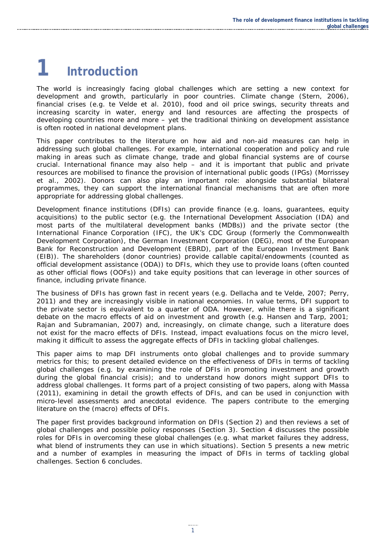# <span id="page-7-0"></span>**1 Introduction**

The world is increasingly facing global challenges which are setting a new context for development and growth, particularly in poor countries. Climate change (Stern, 2006), financial crises (e.g. te Velde et al. 2010), food and oil price swings, security threats and increasing scarcity in water, energy and land resources are affecting the prospects of developing countries more and more – yet the traditional thinking on development assistance is often rooted in national development plans.

This paper contributes to the literature on how aid and non-aid measures can help in addressing such global challenges. For example, international cooperation and policy and rule making in areas such as climate change, trade and global financial systems are of course crucial. International finance may also help – and it is important that public and private resources are mobilised to finance the provision of international public goods (IPGs) (Morrissey et al., 2002). Donors can also play an important role: alongside substantial bilateral programmes, they can support the international financial mechanisms that are often more appropriate for addressing global challenges.

Development finance institutions (DFIs) can provide finance (e.g. loans, guarantees, equity acquisitions) to the public sector (e.g. the International Development Association (IDA) and most parts of the multilateral development banks (MDBs)) and the private sector (the International Finance Corporation (IFC), the UK's CDC Group (formerly the Commonwealth Development Corporation), the German Investment Corporation (DEG), most of the European Bank for Reconstruction and Development (EBRD), part of the European Investment Bank (EIB)). The shareholders (donor countries) provide callable capital/endowments (counted as official development assistance (ODA)) to DFIs, which they use to provide loans (often counted as other official flows (OOFs)) and take equity positions that can leverage in other sources of finance, including private finance.

The business of DFIs has grown fast in recent years (e.g. Dellacha and te Velde, 2007; Perry, 2011) and they are increasingly visible in national economies. In value terms, DFI support to the private sector is equivalent to a quarter of ODA. However, while there is a significant debate on the macro effects of aid on investment and growth (e.g. Hansen and Tarp, 2001; Rajan and Subramanian, 2007) and, increasingly, on climate change, such a literature does not exist for the macro effects of DFIs. Instead, impact evaluations focus on the micro level, making it difficult to assess the aggregate effects of DFIs in tackling global challenges.

This paper aims to map DFI instruments onto global challenges and to provide summary metrics for this; to present detailed evidence on the effectiveness of DFIs in terms of tackling global challenges (e.g. by examining the role of DFIs in promoting investment and growth during the global financial crisis); and to understand how donors might support DFIs to address global challenges. It forms part of a project consisting of two papers, along with Massa (2011), examining in detail the growth effects of DFIs, and can be used in conjunction with micro-level assessments and anecdotal evidence. The papers contribute to the emerging literature on the (macro) effects of DFIs.

The paper first provides background information on DFIs (Section 2) and then reviews a set of global challenges and possible policy responses (Section 3). Section 4 discusses the possible roles for DFIs in overcoming these global challenges (e.g. what market failures they address, what blend of instruments they can use in which situations). Section 5 presents a new metric and a number of examples in measuring the impact of DFIs in terms of tackling global challenges. Section 6 concludes.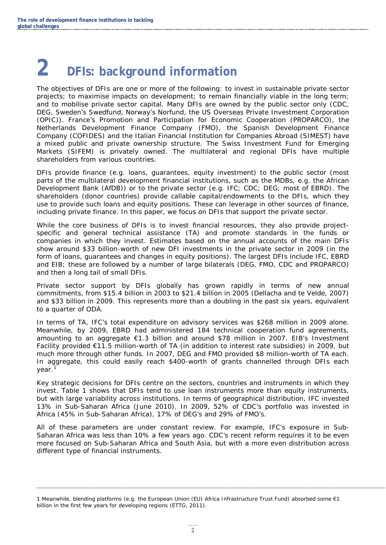# <span id="page-8-0"></span>**2 DFIs: background information**

The objectives of DFIs are one or more of the following: to invest in sustainable private sector projects; to maximise impacts on development; to remain financially viable in the long term; and to mobilise private sector capital. Many DFIs are owned by the public sector only (CDC, DEG, Sweden's Swedfund, Norway's Norfund, the US Overseas Private Investment Corporation (OPIC)). France's Promotion and Participation for Economic Cooperation (PROPARCO), the Netherlands Development Finance Company (FMO), the Spanish Development Finance Company (COFIDES) and the Italian Financial Institution for Companies Abroad (SIMEST) have a mixed public and private ownership structure. The Swiss Investment Fund for Emerging Markets (SIFEM) is privately owned. The multilateral and regional DFIs have multiple shareholders from various countries.

DFIs provide finance (e.g. loans, guarantees, equity investment) to the public sector (most parts of the multilateral development financial institutions, such as the MDBs, e.g. the African Development Bank (AfDB)) or to the private sector (e.g. IFC; CDC; DEG; most of EBRD). The shareholders (donor countries) provide callable capital/endowments to the DFIs, which they use to provide such loans and equity positions. These can leverage in other sources of finance, including private finance. In this paper, we focus on DFIs that support the private sector.

While the core business of DFIs is to invest financial resources, they also provide projectspecific and general technical assistance (TA) and promote standards in the funds or companies in which they invest. Estimates based on the annual accounts of the main DFIs show around \$33 billion-worth of new DFI investments in the private sector in 2009 (in the form of loans, guarantees and changes in equity positions). The largest DFIs include IFC, EBRD and EIB; these are followed by a number of large bilaterals (DEG, FMO, CDC and PROPARCO) and then a long tail of small DFIs.

Private sector support by DFIs globally has grown rapidly in terms of new annual commitments, from \$15.4 billion in 2003 to \$21.4 billion in 2005 (Dellacha and te Velde, 2007) and \$33 billion in 2009. This represents more than a doubling in the past six years, equivalent to a quarter of ODA.

In terms of TA, IFC's total expenditure on advisory services was \$268 million in 2009 alone. Meanwhile, by 2009, EBRD had administered 184 technical cooperation fund agreements, amounting to an aggregate €1.3 billion and around \$78 million in 2007. EIB's Investment Facility provided €11.5 million-worth of TA (in addition to interest rate subsidies) in 2009, but much more through other funds. In 2007, DEG and FMO provided \$8 million-worth of TA each. In aggregate, this could easily reach \$400-worth of grants channelled through DFIs each year.

Key strategic decisions for DFIs centre on the sectors, countries and instruments in which they invest. Table 1 shows that DFIs tend to use loan instruments more than equity instruments, but with large variability across institutions. In terms of geographical distribution, IFC invested 13% in Sub-Saharan Africa (June 2010). In 2009, 52% of CDC's portfolio was invested in Africa (45% in Sub-Saharan Africa), 17% of DEG's and 29% of FMO's.

All of these parameters are under constant review. For example, IFC's exposure in Sub-Saharan Africa was less than 10% a few years ago. CDC's recent reform requires it to be even more focused on Sub-Saharan Africa and South Asia, but with a more even distribution across different type of financial instruments.

<span id="page-8-1"></span><sup>1</sup> Meanwhile, blending platforms (e.g. the European Union (EU) Africa Infrastructure Trust Fund) absorbed some €1 billion in the first few years for developing regions (ETTG, 2011).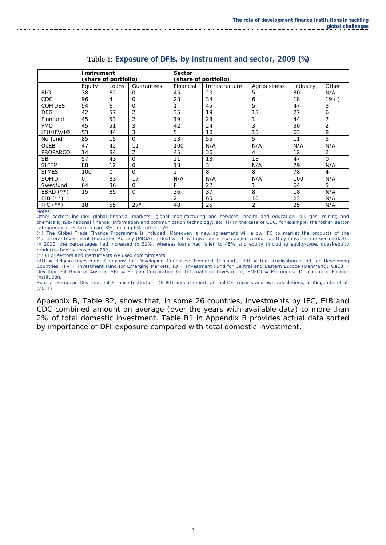<span id="page-9-0"></span>

| Instrument        |                      |          |                | Sector               |                |                |          |          |
|-------------------|----------------------|----------|----------------|----------------------|----------------|----------------|----------|----------|
|                   | (share of portfolio) |          |                | (share of portfolio) |                |                |          |          |
|                   |                      |          |                | Financial            |                |                |          | Other    |
|                   | Equity               | Loans    | Guarantees     |                      | Infrastructure | Agribusiness   | Industry |          |
| <b>BIO</b>        | 38                   | 62       | 0              | 45                   | 20             | 5              | 30       | N/A      |
| CDC               | 96                   | 4        | $\Omega$       | 23                   | 34             | 6              | 18       | 19 (i)   |
| <b>COFIDES</b>    | 94                   | 6        | 0              | 1                    | 45             | 5              | 47       | 3        |
| <b>DEG</b>        | 42                   | 57       | 2              | 35                   | 19             | 13             | 27       | 6        |
| Finnfund          | 45                   | 53       | $\overline{2}$ | 19                   | 28             | 1              | 44       |          |
| <b>FMO</b>        | 45                   | 51       | 3              | 42                   | 24             | 3              | 30       | 2        |
| IFU/IFV/IØ        | 53                   | 44       | 3              | 5                    | 10             | 15             | 63       | 8        |
| Norfund           | 85                   | 15       | 0              | 23                   | 55             | 5              | 11       | 5        |
| <b>OeEB</b>       | 47                   | 42       | 11             | 100                  | N/A            | N/A            | N/A      | N/A      |
| PROPARCO          | 14                   | 84       | 2              | 45                   | 36             | $\overline{4}$ | 12       | 2        |
| <b>SBI</b>        | 57                   | 43       | 0              | 21                   | 13             | 18             | 47       | $\Omega$ |
| <b>SIFEM</b>      | 88                   | 12       | $\Omega$       | 18                   | 3              | N/A            | 79       | N/A      |
| <b>SIMEST</b>     | 100                  | $\Omega$ | $\Omega$       | $\overline{2}$       | 8              | 8              | 78       | 4        |
| <b>SOFID</b>      | 0                    | 83       | 17             | N/A                  | N/A            | N/A            | 100      | N/A      |
| Swedfund          | 64                   | 36       | 0              | 8                    | 22             | 1              | 64       | 5        |
| EBRD<br>$(***)$   | 15                   | 85       | 0              | 36                   | 37             | 8              | 18       | N/A      |
| $(x * x)$<br>EIB. |                      |          |                | $\overline{2}$       | 65             | 10             | 23       | N/A      |
| IFC.<br>(**)      | 18                   | 55       | $27*$          | 48                   | 25             | 2              | 25       | N/A      |

#### Table 1: **Exposure of DFIs, by instrument and sector, 2009 (%)**

*Notes*:

Other sectors include: global financial markets; global manufacturing and services; health and education; oil, gas, mining and chemicals; sub-national finance; information and communication technology; etc. (i) In the case of CDC, for example, the 'other' sector category includes health care 8%; mining 6%; others 6%.

(\*) The Global Trade Finance Programme is included. Moreover, a new agreement will allow IFC to market the products of the Multilateral Investment Guarantee Agency (MIGA), a deal which will give businesses added comfort as they move into riskier markets. In 2010, the percentages had increased to 31%, whereas loans had fallen to 45% and equity (including equity-type, quasi-equity products) had increased to 23%.

(\*\*) For sectors and instruments we used commitments.

BIO = Belgian Investment Company for Developing Countries; Finnfund (Finland); IFU = Industrialisation Fund for Developing Countries, IFV = Investment Fund for Emerging Markets, IØ = Investment Fund for Central and Eastern Europe (Denmark); OeEB = Development Bank of Austria; SBI = Belgian Corporation for International Investment; SOFID = Portuguese Development Finance Institution.

*Source*: European Development Finance Institutions (EDFI) annual report, annual DFI reports and own calculations, in Kingombe et al. (2011).

Appendix B, Table B2, shows that, in some 26 countries, investments by IFC, EIB and CDC combined amount on average (over the years with available data) to more than 2% of total domestic investment. Table B1 in Appendix B provides actual data sorted by importance of DFI exposure compared with total domestic investment.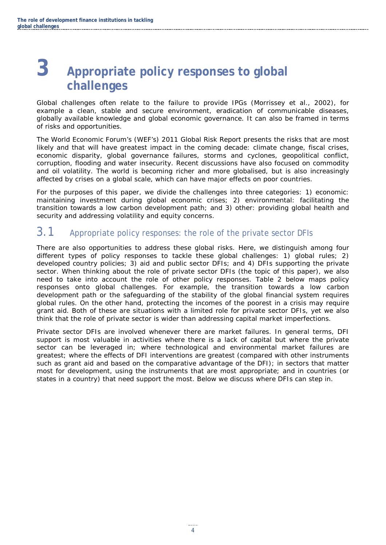# <span id="page-10-0"></span>**3 Appropriate policy responses to global challenges**

Global challenges often relate to the failure to provide IPGs (Morrissey et al., 2002), for example a clean, stable and secure environment, eradication of communicable diseases, globally available knowledge and global economic governance. It can also be framed in terms of risks and opportunities.

The World Economic Forum's (WEF's) 2011 Global Risk Report presents the risks that are most likely and that will have greatest impact in the coming decade: climate change, fiscal crises, economic disparity, global governance failures, storms and cyclones, geopolitical conflict, corruption, flooding and water insecurity. Recent discussions have also focused on commodity and oil volatility. The world is becoming richer and more globalised, but is also increasingly affected by crises on a global scale, which can have major effects on poor countries.

For the purposes of this paper, we divide the challenges into three categories: 1) economic: maintaining investment during global economic crises; 2) environmental: facilitating the transition towards a low carbon development path; and 3) other: providing global health and security and addressing volatility and equity concerns.

#### <span id="page-10-1"></span>3.1 Appropriate policy responses: the role of the private sector DFIs

There are also opportunities to address these global risks. Here, we distinguish among four different types of policy responses to tackle these global challenges: 1) global rules; 2) developed country policies; 3) aid and public sector DFIs; and 4) DFIs supporting the private sector. When thinking about the role of private sector DFIs (the topic of this paper), we also need to take into account the role of other policy responses. Table 2 below maps policy responses onto global challenges. For example, the transition towards a low carbon development path or the safeguarding of the stability of the global financial system requires global rules. On the other hand, protecting the incomes of the poorest in a crisis may require grant aid. Both of these are situations with a limited role for private sector DFIs, yet we also think that the role of private sector is wider than addressing capital market imperfections.

Private sector DFIs are involved whenever there are market failures. In general terms, DFI support is most valuable in activities where there is a lack of capital but where the private sector can be leveraged in; where technological and environmental market failures are greatest; where the effects of DFI interventions are greatest (compared with other instruments such as grant aid and based on the comparative advantage of the DFI); in sectors that matter most for development, using the instruments that are most appropriate; and in countries (or states in a country) that need support the most. Below we discuss where DFIs can step in.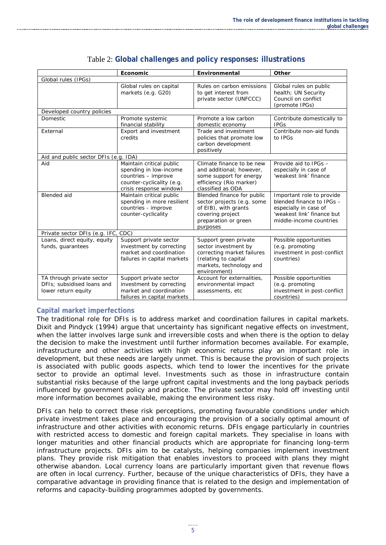<span id="page-11-0"></span>

|                                                                                | Economic                                                                                                                          | Environmental                                                                                                                                  | Other                                                                                                                                    |  |  |  |
|--------------------------------------------------------------------------------|-----------------------------------------------------------------------------------------------------------------------------------|------------------------------------------------------------------------------------------------------------------------------------------------|------------------------------------------------------------------------------------------------------------------------------------------|--|--|--|
| Global rules (IPGs)                                                            |                                                                                                                                   |                                                                                                                                                |                                                                                                                                          |  |  |  |
|                                                                                | Global rules on capital<br>markets (e.g. G20)                                                                                     | Rules on carbon emissions<br>to get interest from<br>private sector (UNFCCC)                                                                   | Global rules on public<br>health; UN Security<br>Council on conflict<br>(promote IPGs)                                                   |  |  |  |
| Developed country policies                                                     |                                                                                                                                   |                                                                                                                                                |                                                                                                                                          |  |  |  |
| <b>Domestic</b>                                                                | Promote systemic<br>financial stability                                                                                           | Promote a low carbon<br>domestic economy                                                                                                       | Contribute domestically to<br><b>IPGS</b>                                                                                                |  |  |  |
| External                                                                       | Export and investment<br>credits                                                                                                  | Trade and investment<br>policies that promote low<br>carbon development<br>positively                                                          | Contribute non-aid funds<br>to IPGs                                                                                                      |  |  |  |
| Aid and public sector DFIs (e.g. IDA)                                          |                                                                                                                                   |                                                                                                                                                |                                                                                                                                          |  |  |  |
| Aid                                                                            | Maintain critical public<br>spending in low-income<br>countries - improve<br>counter-cyclicality (e.g.<br>crisis response window) | Climate finance to be new<br>and additional; however,<br>some support for energy<br>efficiency (Rio marker)<br>classified as ODA               | Provide aid to IPGs -<br>especially in case of<br>'weakest link' finance                                                                 |  |  |  |
| <b>Blended</b> aid                                                             | Maintain critical public<br>spending in more resilient<br>countries - improve<br>counter-cyclicality                              | Blended finance for public<br>sector projects (e.g. some<br>of EIB), with grants<br>covering project<br>preparation or green<br>purposes       | Important role to provide<br>blended finance to IPGs -<br>especially in case of<br>'weakest link' finance but<br>middle-income countries |  |  |  |
| Private sector DFIs (e.g. IFC, CDC)                                            |                                                                                                                                   |                                                                                                                                                |                                                                                                                                          |  |  |  |
| Loans, direct equity, equity<br>funds, guarantees                              | Support private sector<br>investment by correcting<br>market and coordination<br>failures in capital markets                      | Support green private<br>sector investment by<br>correcting market failures<br>(relating to capital<br>markets, technology and<br>environment) | Possible opportunities<br>(e.g. promoting<br>investment in post-conflict<br>countries)                                                   |  |  |  |
| TA through private sector<br>DFIs: subsidised loans and<br>lower return equity | Support private sector<br>investment by correcting<br>market and coordination<br>failures in capital markets                      | Account for externalities,<br>environmental impact<br>assessments, etc                                                                         | Possible opportunities<br>(e.g. promoting<br>investment in post-conflict<br>countries)                                                   |  |  |  |

#### Table 2: **Global challenges and policy responses: illustrations**

#### **Capital market imperfections**

The traditional role for DFIs is to address market and coordination failures in capital markets. Dixit and Pindyck (1994) argue that uncertainty has significant negative effects on investment, when the latter involves large sunk and irreversible costs and when there is the option to delay the decision to make the investment until further information becomes available. For example, infrastructure and other activities with high economic returns play an important role in development, but these needs are largely unmet. This is because the provision of such projects is associated with public goods aspects, which tend to lower the incentives for the private sector to provide an optimal level. Investments such as those in infrastructure contain substantial risks because of the large upfront capital investments and the long payback periods influenced by government policy and practice. The private sector may hold off investing until more information becomes available, making the environment less risky.

DFIs can help to correct these risk perceptions, promoting favourable conditions under which private investment takes place and encouraging the provision of a socially optimal amount of infrastructure and other activities with economic returns. DFIs engage particularly in countries with restricted access to domestic and foreign capital markets. They specialise in loans with longer maturities and other financial products which are appropriate for financing long-term infrastructure projects. DFIs aim to be catalysts, helping companies implement investment plans. They provide risk mitigation that enables investors to proceed with plans they might otherwise abandon. Local currency loans are particularly important given that revenue flows are often in local currency. Further, because of the unique characteristics of DFIs, they have a comparative advantage in providing finance that is related to the design and implementation of reforms and capacity-building programmes adopted by governments.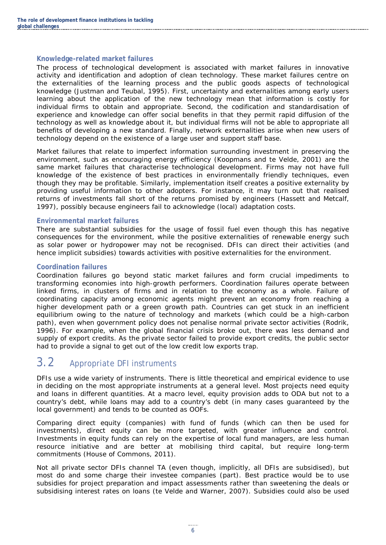#### **Knowledge-related market failures**

The process of technological development is associated with market failures in innovative activity and identification and adoption of clean technology. These market failures centre on the externalities of the learning process and the public goods aspects of technological knowledge (Justman and Teubal, 1995). First, uncertainty and externalities among early users learning about the application of the new technology mean that information is costly for individual firms to obtain and appropriate. Second, the codification and standardisation of experience and knowledge can offer social benefits in that they permit rapid diffusion of the technology as well as knowledge about it, but individual firms will not be able to appropriate all benefits of developing a new standard. Finally, network externalities arise when new users of technology depend on the existence of a large user and support staff base.

Market failures that relate to imperfect information surrounding investment in preserving the environment, such as encouraging energy efficiency (Koopmans and te Velde, 2001) are the same market failures that characterise technological development. Firms may not have full knowledge of the existence of best practices in environmentally friendly techniques, even though they may be profitable. Similarly, implementation itself creates a positive externality by providing useful information to other adopters. For instance, it may turn out that realised returns of investments fall short of the returns promised by engineers (Hassett and Metcalf, 1997), possibly because engineers fail to acknowledge (local) adaptation costs.

#### **Environmental market failures**

There are substantial subsidies for the usage of fossil fuel even though this has negative consequences for the environment, while the positive externalities of renewable energy such as solar power or hydropower may not be recognised. DFIs can direct their activities (and hence implicit subsidies) towards activities with positive externalities for the environment.

#### **Coordination failures**

Coordination failures go beyond static market failures and form crucial impediments to transforming economies into high-growth performers. Coordination failures operate between linked firms, in clusters of firms and in relation to the economy as a whole. Failure of coordinating capacity among economic agents might prevent an economy from reaching a higher development path or a green growth path. Countries can get stuck in an inefficient equilibrium owing to the nature of technology and markets (which could be a high-carbon path), even when government policy does not penalise normal private sector activities (Rodrik, 1996). For example, when the global financial crisis broke out, there was less demand and supply of export credits. As the private sector failed to provide export credits, the public sector had to provide a signal to get out of the low credit low exports trap.

#### <span id="page-12-0"></span>3.2 Appropriate DFI instruments

DFIs use a wide variety of instruments. There is little theoretical and empirical evidence to use in deciding on the most appropriate instruments at a general level. Most projects need equity and loans in different quantities. At a macro level, equity provision adds to ODA but not to a country's debt, while loans may add to a country's debt (in many cases guaranteed by the local government) and tends to be counted as OOFs.

Comparing direct equity (companies) with fund of funds (which can then be used for investments), direct equity can be more targeted, with greater influence and control. Investments in equity funds can rely on the expertise of local fund managers, are less human resource initiative and are better at mobilising third capital, but require long-term commitments (House of Commons, 2011).

Not all private sector DFIs channel TA (even though, implicitly, all DFIs are subsidised), but most do and some charge their investee companies (part). Best practice would be to use subsidies for project preparation and impact assessments rather than sweetening the deals or subsidising interest rates on loans (te Velde and Warner, 2007). Subsidies could also be used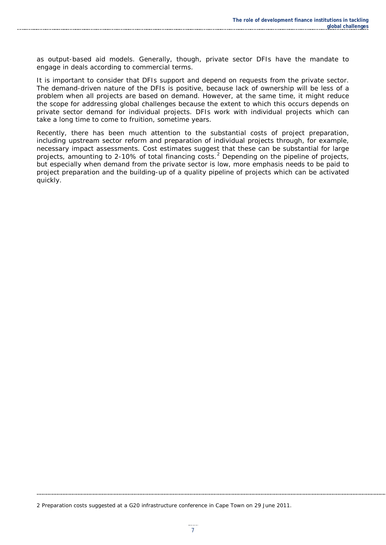as output-based aid models. Generally, though, private sector DFIs have the mandate to engage in deals according to commercial terms.

It is important to consider that DFIs support and depend on requests from the private sector. The demand-driven nature of the DFIs is positive, because lack of ownership will be less of a problem when all projects are based on demand. However, at the same time, it might reduce the scope for addressing global challenges because the extent to which this occurs depends on private sector demand for individual projects. DFIs work with individual projects which can take a long time to come to fruition, sometime years.

Recently, there has been much attention to the substantial costs of project preparation, including upstream sector reform and preparation of individual projects through, for example, necessary impact assessments. Cost estimates suggest that these can be substantial for large projects, amounting to [2](#page-13-0)-10% of total financing costs.<sup>2</sup> Depending on the pipeline of projects, but especially when demand from the private sector is low, more emphasis needs to be paid to project preparation and the building-up of a quality pipeline of projects which can be activated quickly.

<span id="page-13-0"></span>2 Preparation costs suggested at a G20 infrastructure conference in Cape Town on 29 June 2011.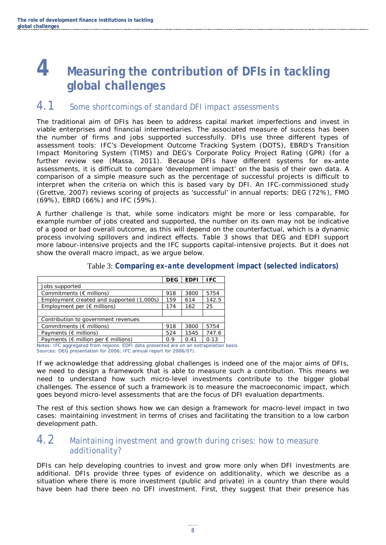## <span id="page-14-0"></span>**4 Measuring the contribution of DFIs in tackling global challenges**

#### <span id="page-14-1"></span>4.1 Some shortcomings of standard DFI impact assessments

The traditional aim of DFIs has been to address capital market imperfections and invest in viable enterprises and financial intermediaries. The associated measure of success has been the number of firms and jobs supported successfully. DFIs use three different types of assessment tools: IFC's Development Outcome Tracking System (DOTS), EBRD's Transition Impact Monitoring System (TIMS) and DEG's Corporate Policy Project Rating (GPR) (for a further review see (Massa, 2011). Because DFIs have different systems for *ex-ante*  assessments, it is difficult to compare 'development impact' on the basis of their own data. A comparison of a simple measure such as the percentage of successful projects is difficult to interpret when the criteria on which this is based vary by DFI. An IFC-commissioned study (Grettve, 2007) reviews scoring of projects as 'successful' in annual reports: DEG (72%), FMO (69%), EBRD (66%) and IFC (59%).

A further challenge is that, while some indicators might be more or less comparable, for example number of jobs created and supported, the number on its own may not be indicative of a good or bad overall outcome, as this will depend on the counterfactual, which is a dynamic process involving spillovers and indirect effects. Table 3 shows that DEG and EDFI support more labour-intensive projects and the IFC supports capital-intensive projects. But it does not show the overall macro impact, as we argue below.

<span id="page-14-3"></span>

|                                                        | <b>DEG</b> | <b>EDFI</b> | <b>IFC</b> |
|--------------------------------------------------------|------------|-------------|------------|
| Jobs supported                                         |            |             |            |
| Commitments ( $\epsilon$ millions)                     | 918        | 3800        | 5754       |
| Employment created and supported (1,000s)              | 159        | 614         | 142.5      |
| Employment per $(\epsilon$ millions)                   | 174        | 162         | 25         |
|                                                        |            |             |            |
| Contribution to government revenues                    |            |             |            |
| Commitments ( $\epsilon$ millions)                     | 918        | 3800        | 5754       |
| Payments ( $\notin$ millions)                          | 524        | 1545        | 747.6      |
| Payments ( $\epsilon$ million per $\epsilon$ millions) | 0.9        | 0.41        | 0.13       |

#### Table 3: **Comparing** *ex-ante* **development impact (selected indicators)**

Notes: IFC aggregated from regions. EDFI data presented are on an extrapolation basis. Sources: DEG presentation for 2006; IFC annual report for 2006/07).

If we acknowledge that addressing global challenges is indeed one of the major aims of DFIs, we need to design a framework that is able to measure such a contribution. This means we need to understand how such micro-level investments contribute to the bigger global challenges. The essence of such a framework is to measure the macroeconomic impact, which goes beyond micro-level assessments that are the focus of DFI evaluation departments.

The rest of this section shows how we can design a framework for macro-level impact in two cases: maintaining investment in terms of crises and facilitating the transition to a low carbon development path.

#### <span id="page-14-2"></span>4.2 Maintaining investment and growth during crises: how to measure additionality?

DFIs can help developing countries to invest and grow more only when DFI investments are additional. DFIs provide three types of evidence on additionality, which we describe as a situation where there is more investment (public and private) in a country than there would have been had there been no DFI investment. First, they suggest that their presence has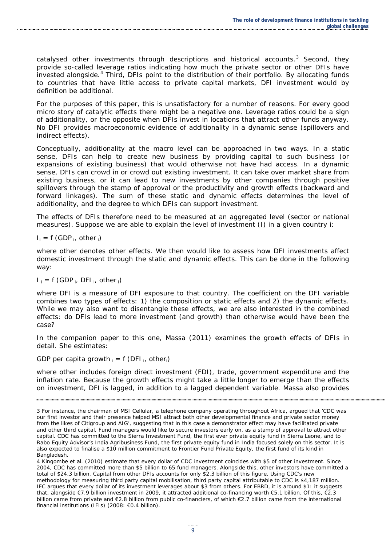catalysed other investments through descriptions and historical accounts. $3$  Second, they provide so-called leverage ratios indicating how much the private sector or other DFIs have invested alongside.<sup>[4](#page-15-1)</sup> Third, DFIs point to the distribution of their portfolio. By allocating funds to countries that have little access to private capital markets, DFI investment would by definition be additional.

For the purposes of this paper, this is unsatisfactory for a number of reasons. For every good micro story of catalytic effects there might be a negative one. Leverage ratios could be a sign of additionality, or the opposite when DFIs invest in locations that attract other funds anyway. No DFI provides macroeconomic evidence of additionality in a dynamic sense (spillovers and indirect effects).

Conceptually, additionality at the macro level can be approached in two ways. In a static sense, DFIs can help to create new business by providing capital to such business (or expansions of existing business) that would otherwise not have had access. In a dynamic sense, DFIs can crowd in or crowd out existing investment. It can take over market share from existing business, or it can lead to new investments by other companies through positive spillovers through the stamp of approval or the productivity and growth effects (backward and forward linkages). The sum of these static and dynamic effects determines the level of additionality, and the degree to which DFIs can support investment.

The effects of DFIs therefore need to be measured at an aggregated level (sector or national measures). Suppose we are able to explain the level of investment (I) in a given country *i*:

#### $I_i = f(GDP_i, other_i)$

where *other* denotes other effects. We then would like to assess how DFI investments affect domestic investment through the static and dynamic effects. This can be done in the following way:

#### $I_i = f$  (GDP<sub>i</sub>, DFI<sub>i</sub>, other<sub>i</sub>)

where *DFI* is a measure of DFI exposure to that country. The coefficient on the DFI variable combines two types of effects: 1) the composition or static effects and 2) the dynamic effects. While we may also want to disentangle these effects, we are also interested in the combined effects: do DFIs lead to more investment (and growth) than otherwise would have been the case?

In the companion paper to this one, Massa (2011) examines the growth effects of DFIs in detail. She estimates:

#### *GDP per capita growth <sup>i</sup> = f (DFI i, otheri)*

where *other* includes foreign direct investment (FDI), trade, government expenditure and the inflation rate. Because the growth effects might take a little longer to emerge than the effects on investment, DFI is lagged, in addition to a lagged dependent variable. Massa also provides

<span id="page-15-0"></span><sup>3</sup> For instance, the chairman of MSI Cellular, a telephone company operating throughout Africa, argued that 'CDC was our first investor and their presence helped MSI attract both other developmental finance and private sector money from the likes of Citigroup and AIG', suggesting that in this case a demonstrator effect may have facilitated private and other third capital. Fund managers would like to secure investors early on, as a stamp of approval to attract other capital. CDC has committed to the Sierra Investment Fund, the first ever private equity fund in Sierra Leone, and to Rabo Equity Advisor's India Agribusiness Fund, the first private equity fund in India focused solely on this sector. It is also expected to finalise a \$10 million commitment to Frontier Fund Private Equity, the first fund of its kind in Bangladesh.

<span id="page-15-1"></span><sup>4</sup> Kingombe et al. (2010) estimate that every dollar of CDC investment coincides with \$5 of other investment. Since 2004, CDC has committed more than \$5 billion to 65 fund managers. Alongside this, other investors have committed a total of \$24.3 billion. Capital from other DFIs accounts for only \$2.3 billion of this figure. Using CDC's new methodology for measuring third party capital mobilisation, third party capital attributable to CDC is \$4,187 million. IFC argues that every dollar of its investment leverages about \$3 from others. For EBRD, it is around \$1: it suggests that, alongside €7.9 billion investment in 2009, it attracted additional co-financing worth €5.1 billion. Of this, €2.3 billion came from private and €2.8 billion from public co-financiers, of which €2.7 billion came from the international financial institutions (IFIs) (2008: €0.4 billion).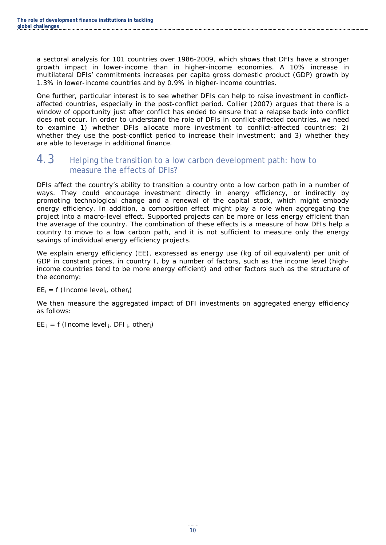a sectoral analysis for 101 countries over 1986-2009, which shows that DFIs have a stronger growth impact in lower-income than in higher-income economies. A 10% increase in multilateral DFIs' commitments increases per capita gross domestic product (GDP) growth by 1.3% in lower-income countries and by 0.9% in higher-income countries.

One further, particular interest is to see whether DFIs can help to raise investment in conflictaffected countries, especially in the post-conflict period. Collier (2007) argues that there is a window of opportunity just after conflict has ended to ensure that a relapse back into conflict does not occur. In order to understand the role of DFIs in conflict-affected countries, we need to examine 1) whether DFIs allocate more investment to conflict-affected countries; 2) whether they use the post-conflict period to increase their investment; and 3) whether they are able to leverage in additional finance.

#### <span id="page-16-0"></span>4.3 Helping the transition to a low carbon development path: how to measure the effects of DFIs?

DFIs affect the country's ability to transition a country onto a low carbon path in a number of ways. They could encourage investment directly in energy efficiency, or indirectly by promoting technological change and a renewal of the capital stock, which might embody energy efficiency. In addition, a composition effect might play a role when aggregating the project into a macro-level effect. Supported projects can be more or less energy efficient than the average of the country. The combination of these effects is a measure of how DFIs help a country to move to a low carbon path, and it is not sufficient to measure only the energy savings of individual energy efficiency projects.

We explain energy efficiency (*EE*), expressed as energy use (kg of oil equivalent) per unit of GDP in constant prices, in country *I*, by a number of factors, such as the income level (highincome countries tend to be more energy efficient) and other factors such as the structure of the economy:

#### $EE_i = f$  (Income level<sub>i</sub>, other<sub>i</sub>)

We then measure the aggregated impact of DFI investments on aggregated energy efficiency as follows:

*EE*  $_i = f$  (Income level  $_i$ , DFI  $_i$ , other $_i$ )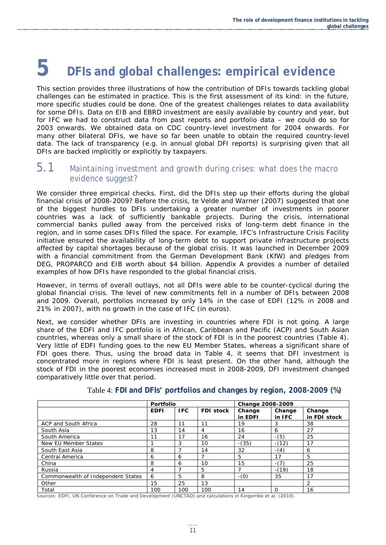# <span id="page-17-0"></span>**5 DFIs and global challenges: empirical evidence**

This section provides three illustrations of how the contribution of DFIs towards tackling global challenges can be estimated in practice. This is the first assessment of its kind: in the future, more specific studies could be done. One of the greatest challenges relates to data availability for some DFIs. Data on EIB and EBRD investment are easily available by country and year, but for IFC we had to construct data from past reports and portfolio data – we could do so for 2003 onwards. We obtained data on CDC country-level investment for 2004 onwards. For many other bilateral DFIs, we have so far been unable to obtain the required country-level data. The lack of transparency (e.g. in annual global DFI reports) is surprising given that all DFIs are backed implicitly or explicitly by taxpayers.

#### <span id="page-17-1"></span>5.1 Maintaining investment and growth during crises: what does the macro evidence suggest?

We consider three empirical checks. First, did the DFIs step up their efforts during the global financial crisis of 2008-2009? Before the crisis, te Velde and Warner (2007) suggested that one of the biggest hurdles to DFIs undertaking a greater number of investments in poorer countries was a lack of sufficiently bankable projects. During the crisis, international commercial banks pulled away from the perceived risks of long-term debt finance in the region, and in some cases DFIs filled the space. For example, IFC's Infrastructure Crisis Facility initiative ensured the availability of long-term debt to support private infrastructure projects affected by capital shortages because of the global crisis. It was launched in December 2009 with a financial commitment from the German Development Bank (KfW) and pledges from DEG, PROPARCO and EIB worth about \$4 billion. Appendix A provides a number of detailed examples of how DFIs have responded to the global financial crisis.

However, in terms of overall outlays, not all DFIs were able to be counter-cyclical during the global financial crisis. The level of new commitments fell in a number of DFIs between 2008 and 2009. Overall, portfolios increased by only 14% in the case of EDFI (12% in 2008 and 21% in 2007), with no growth in the case of IFC (in euros).

Next, we consider whether DFIs are investing in countries where FDI is not going. A large share of the EDFI and IFC portfolio is in African, Caribbean and Pacific (ACP) and South Asian countries, whereas only a small share of the stock of FDI is in the poorest countries (Table 4). Very little of EDFI funding goes to the new EU Member States, whereas a significant share of FDI goes there. Thus, using the broad data in Table 4, it seems that DFI investment is concentrated more in regions where FDI is least present. On the other hand, although the stock of FDI in the poorest economies increased most in 2008-2009, DFI investment changed comparatively little over that period.

<span id="page-17-2"></span>

|                                    | <b>Portfolio</b> |            |                  | Change 2008-2009  |                  |                        |
|------------------------------------|------------------|------------|------------------|-------------------|------------------|------------------------|
|                                    | <b>EDFI</b>      | <b>IFC</b> | <b>FDI stock</b> | Change<br>in EDFI | Change<br>in IFC | Change<br>in FDI stock |
| ACP and South Africa               | 28               | 11         | 11               | 19                |                  | 38                     |
| South Asia                         | 13               | 14         | 4                | 16                | 6                | 27                     |
| South America                      | 11               | 17         | 16               | 24                | $-(5)$           | 25                     |
| New EU Member States               |                  | 3          | 10               | $-(35)$           | $-(12)$          | 17                     |
| South East Asia                    | 8                |            | 14               | 32                | $-(4)$           | 6                      |
| Central America                    | 6                | 6          |                  | 5                 | 17               | 5                      |
| China                              | 8                | 6          | 10               | 15                | $-(7)$           | 25                     |
| Russia                             | 4                |            | 5                |                   | $-(19)$          | 18                     |
| Commonwealth of Independent States | 6                | 5          | 8                | $-(0)$            | 35               | 17                     |
| Other                              | 15               | 25         | 13               |                   |                  | 2                      |
| Total                              | 100              | 100        | 100              | 14                | O                | 16                     |

Table 4: **FDI and DFIs' portfolios and changes by region, 2008-2009 (%)**

Sources: EDFI, UN Conference on Trade and Development (UNCTAD) and calculations in Kingombe et al. (2010).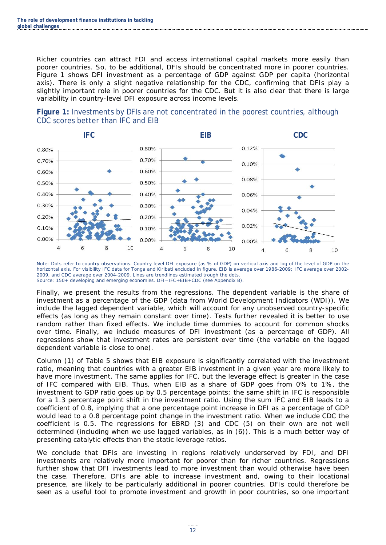Richer countries can attract FDI and access international capital markets more easily than poorer countries. So, to be additional, DFIs should be concentrated more in poorer countries. Figure 1 shows DFI investment as a percentage of GDP against GDP per capita (horizontal axis). There is only a slight negative relationship for the CDC, confirming that DFIs play a slightly important role in poorer countries for the CDC. But it is also clear that there is large variability in country-level DFI exposure across income levels.

<span id="page-18-0"></span>



Note: Dots refer to country observations. Country level DFI exposure (as % of GDP) on vertical axis and log of the level of GDP on the horizontal axis. For visibility IFC data for Tonga and Kiribati excluded in figure. EIB is average over 1986-2009; IFC average over 2002- 2009, and CDC average over 2004-2009. Lines are trendlines estimated trough the dots. Source: 150+ developing and emerging economies, DFI=IFC+EIB+CDC (see Appendix B).

Finally, we present the results from the regressions. The dependent variable is the share of investment as a percentage of the GDP (data from World Development Indicators (WDI)). We include the lagged dependent variable, which will account for any unobserved country-specific effects (as long as they remain constant over time). Tests further revealed it is better to use random rather than fixed effects. We include time dummies to account for common shocks over time. Finally, we include measures of DFI investment (as a percentage of GDP). All regressions show that investment rates are persistent over time (the variable on the lagged dependent variable is close to one).

Column (1) of Table 5 shows that EIB exposure is significantly correlated with the investment ratio, meaning that countries with a greater EIB investment in a given year are more likely to have more investment. The same applies for IFC, but the leverage effect is greater in the case of IFC compared with EIB. Thus, when EIB as a share of GDP goes from 0% to 1%, the investment to GDP ratio goes up by 0.5 percentage points; the same shift in IFC is responsible for a 1.3 percentage point shift in the investment ratio. Using the sum IFC and EIB leads to a coefficient of 0.8, implying that a one percentage point increase in DFI as a percentage of GDP would lead to a 0.8 percentage point change in the investment ratio. When we include CDC the coefficient is 0.5. The regressions for EBRD (3) and CDC (5) on their own are not well determined (including when we use lagged variables, as in (6)). This is a much better way of presenting catalytic effects than the static leverage ratios.

We conclude that DFIs are investing in regions relatively underserved by FDI, and DFI investments are relatively more important for poorer than for richer countries. Regressions further show that DFI investments lead to more investment than would otherwise have been the case. Therefore, DFIs are able to increase investment and, owing to their locational presence, are likely to be particularly additional in poorer countries. DFIs could therefore be seen as a useful tool to promote investment and growth in poor countries, so one important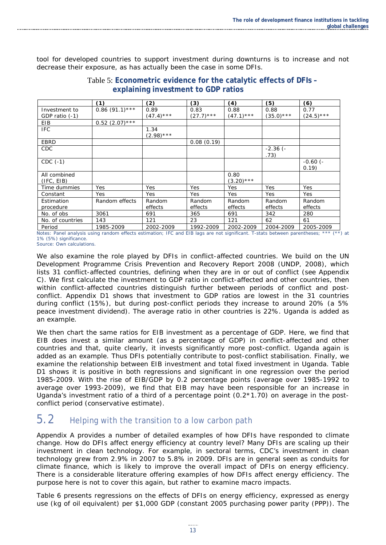<span id="page-19-1"></span>tool for developed countries to support investment during downturns is to increase and not decrease their exposure, as has actually been the case in some DFIs.

|                  | (1)               | (2)         | (3)          | (4)          | (5)           | (6)           |
|------------------|-------------------|-------------|--------------|--------------|---------------|---------------|
| Investment to    | $0.86$ (91.1) *** | 0.89        | 0.83         | 0.88         | 0.88          | 0.77          |
| GDP ratio (-1)   |                   | $(47.4)***$ | $(27.7)$ *** | $(47.1)***$  | $(35.0)***$   | $(24.5)***$   |
| <b>EIB</b>       | $0.52$ (2.07)***  |             |              |              |               |               |
| <b>IFC</b>       |                   | 1.34        |              |              |               |               |
|                  |                   | $(2.98)***$ |              |              |               |               |
| <b>EBRD</b>      |                   |             | 0.08(0.19)   |              |               |               |
| <b>CDC</b>       |                   |             |              |              | $-2.36$ ( $-$ |               |
|                  |                   |             |              |              | .73)          |               |
| $CDC (-1)$       |                   |             |              |              |               | $-0.60$ ( $-$ |
|                  |                   |             |              |              |               | 0.19          |
| All combined     |                   |             |              | 0.80         |               |               |
| (IFC, EIB)       |                   |             |              | $(3.20)$ *** |               |               |
| Time dummies     | Yes               | Yes         | Yes          | <b>Yes</b>   | Yes           | Yes           |
| Constant         | Yes               | Yes         | Yes          | Yes          | Yes           | Yes           |
| Estimation       | Random effects    | Random      | Random       | Random       | Random        | Random        |
| procedure        |                   | effects     | effects      | effects      | effects       | effects       |
| No. of obs       | 3061              | 691         | 365          | 691          | 342           | 280           |
| No. of countries | 143               | 121         | 23           | 121          | 62            | 61            |
| Period           | 1985-2009         | 2002-2009   | 1992-2009    | 2002-2009    | 2004-2009     | 2005-2009     |

Table 5: **Econometric evidence for the catalytic effects of DFIs – explaining investment to GDP ratios**

Notes: Panel analysis using random effects estimation; IFC and EIB lags are not significant. T-stats between parentheses; \*\*\* (\*\*) at 1% (5%) significance. Source: Own calculations.

We also examine the role played by DFIs in conflict-affected countries. We build on the UN Development Programme Crisis Prevention and Recovery Report 2008 (UNDP, 2008), which lists 31 conflict-affected countries, defining when they are in or out of conflict (see Appendix C). We first calculate the investment to GDP ratio in conflict-affected and other countries, then within conflict-affected countries distinguish further between periods of conflict and postconflict. Appendix D1 shows that investment to GDP ratios are lowest in the 31 countries during conflict (15%), but during post-conflict periods they increase to around 20% (a 5% peace investment dividend). The average ratio in other countries is 22%. Uganda is added as an example.

We then chart the same ratios for EIB investment as a percentage of GDP. Here, we find that EIB does invest a similar amount (as a percentage of GDP) in conflict-affected and other countries and that, quite clearly, it invests significantly more post-conflict. Uganda again is added as an example. Thus DFIs potentially contribute to post-conflict stabilisation. Finally, we examine the relationship between EIB investment and total fixed investment in Uganda. Table D1 shows it is positive in both regressions and significant in one regression over the period 1985-2009. With the rise of EIB/GDP by 0.2 percentage points (average over 1985-1992 to average over 1993-2009), we find that EIB may have been responsible for an increase in Uganda's investment ratio of a third of a percentage point  $(0.2*1.70)$  on average in the postconflict period (conservative estimate).

#### <span id="page-19-0"></span>5.2 Helping with the transition to a low carbon path

Appendix A provides a number of detailed examples of how DFIs have responded to climate change. How do DFIs affect energy efficiency at country level? Many DFIs are scaling up their investment in clean technology. For example, in sectoral terms, CDC's investment in clean technology grew from 2.9% in 2007 to 5.8% in 2009. DFIs are in general seen as conduits for climate finance, which is likely to improve the overall impact of DFIs on energy efficiency. There is a considerable literature offering examples of how DFIs affect energy efficiency. The purpose here is not to cover this again, but rather to examine macro impacts.

Table 6 presents regressions on the effects of DFIs on energy efficiency, expressed as energy use (kg of oil equivalent) per \$1,000 GDP (constant 2005 purchasing power parity (PPP)). The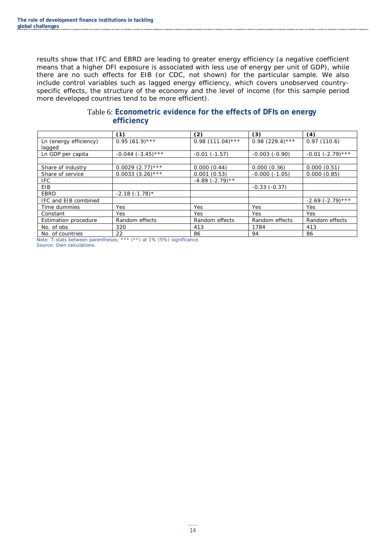results show that IFC and EBRD are leading to greater energy efficiency (a negative coefficient means that a higher DFI exposure is associated with less use of energy per unit of GDP), while there are no such effects for EIB (or CDC, not shown) for the particular sample. We also include control variables such as lagged energy efficiency, which covers unobserved countryspecific effects, the structure of the economy and the level of income (for this sample period more developed countries tend to be more efficient).

<span id="page-20-0"></span>

|                                  | (1)                    | (2)                   | (3)                | (4)                    |
|----------------------------------|------------------------|-----------------------|--------------------|------------------------|
| Ln (energy efficiency)<br>lagged | $0.95(61.9)***$        | $0.98$ (111.04)***    | $0.98$ (229.4)***  | 0.97(110.6)            |
| Ln GDP per capita                | $-0.044$ $(-3.45)$ *** | $-0.01(-1.57)$        | $-0.003$ $(-0.90)$ | $-0.01$ $(-2.79)$ ***  |
|                                  |                        |                       |                    |                        |
| Share of industry                | $0.0029$ $(2.77)$ ***  | 0.000(0.44)           | 0.000(0.36)        | 0.000(0.51)            |
| Share of service                 | $0.0033$ $(3.26)$ ***  | 0.001(0.53)           | $-0.000(-1.05)$    | 0.000(0.85)            |
| <b>IFC</b>                       |                        | $-4.89$ ( $-2.79$ )** |                    |                        |
| EIB                              |                        |                       | $-0.33(-0.37)$     |                        |
| EBRD                             | $-2.18(-1.78)^*$       |                       |                    |                        |
| IFC and EIB combined             |                        |                       |                    | $-2.69$ ( $-2.79$ )*** |
| Time dummies                     | Yes                    | Yes                   | Yes                | Yes                    |
| Constant                         | Yes                    | Yes                   | Yes                | Yes                    |
| Estimation procedure             | Random effects         | Random effects        | Random effects     | Random effects         |
| No. of obs                       | 320                    | 413                   | 1784               | 413                    |
| No. of countries                 | 22                     | 86                    | 94                 | 86                     |

#### Table 6: **Econometric evidence for the effects of DFIs on energy efficiency**

Note: T-stats between parentheses; \*\*\* (\*\*) at 1% (5%) significance.

Source: Own calculations.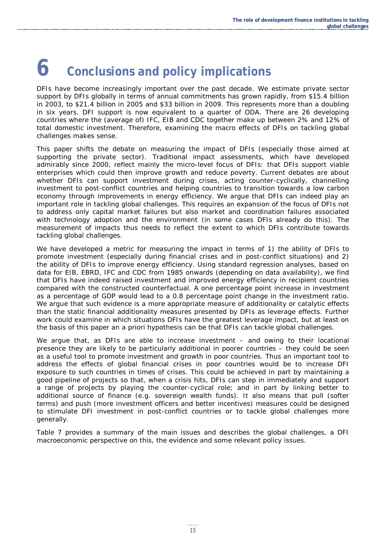# <span id="page-21-0"></span>**6 Conclusions and policy implications**

DFIs have become increasingly important over the past decade. We estimate private sector support by DFIs globally in terms of annual commitments has grown rapidly, from \$15.4 billion in 2003, to \$21.4 billion in 2005 and \$33 billion in 2009. This represents more than a doubling in six years. DFI support is now equivalent to a quarter of ODA. There are 26 developing countries where the (average of) IFC, EIB and CDC together make up between 2% and 12% of total domestic investment. Therefore, examining the macro effects of DFIs on tackling global challenges makes sense.

This paper shifts the debate on measuring the impact of DFIs (especially those aimed at supporting the private sector). Traditional impact assessments, which have developed admirably since 2000, reflect mainly the micro-level focus of DFIs: that DFIs support viable enterprises which could then improve growth and reduce poverty. Current debates are about whether DFIs can support investment during crises, acting counter-cyclically, channelling investment to post-conflict countries and helping countries to transition towards a low carbon economy through improvements in energy efficiency. We argue that DFIs can indeed play an important role in tackling global challenges. This requires an expansion of the focus of DFIs not to address only capital market failures but also market and coordination failures associated with technology adoption and the environment (in some cases DFIs already do this). The measurement of impacts thus needs to reflect the extent to which DFIs contribute towards tackling global challenges.

We have developed a metric for measuring the impact in terms of 1) the ability of DFIs to promote investment (especially during financial crises and in post-conflict situations) and 2) the ability of DFIs to improve energy efficiency. Using standard regression analyses, based on data for EIB, EBRD, IFC and CDC from 1985 onwards (depending on data availability), we find that DFIs have indeed raised investment and improved energy efficiency in recipient countries compared with the constructed counterfactual. A one percentage point increase in investment as a percentage of GDP would lead to a 0.8 percentage point change in the investment ratio. We argue that such evidence is a more appropriate measure of additionality or catalytic effects than the static financial additionality measures presented by DFIs as leverage effects. Further work could examine in which situations DFIs have the greatest leverage impact, but at least on the basis of this paper an *a priori* hypothesis can be that DFIs can tackle global challenges.

We argue that, as DFIs are able to increase investment - and owing to their locational presence they are likely to be particularly additional in poorer countries – they could be seen as a useful tool to promote investment and growth in poor countries. Thus an important tool to address the effects of global financial crises in poor countries would be to increase DFI exposure to such countries in times of crises. This could be achieved in part by maintaining a good pipeline of projects so that, when a crisis hits, DFIs can step in immediately and support a range of projects by playing the counter-cyclical role; and in part by linking better to additional source of finance (e.g. sovereign wealth funds). It also means that pull (softer terms) and push (more investment officers and better incentives) measures could be designed to stimulate DFI investment in post-conflict countries or to tackle global challenges more generally.

Table 7 provides a summary of the main issues and describes the global challenges, a DFI macroeconomic perspective on this, the evidence and some relevant policy issues.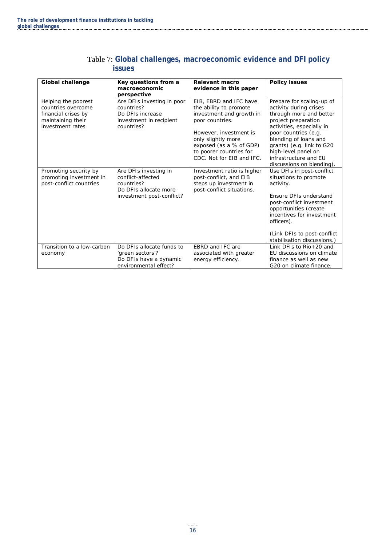<span id="page-22-0"></span>

| <b>Global challenge</b>                                                                                   | Key questions from a<br>macroeconomic<br>perspective                                                           | <b>Relevant macro</b><br>evidence in this paper                                                                                                                                                                                    | <b>Policy issues</b>                                                                                                                                                                                                                                                                          |
|-----------------------------------------------------------------------------------------------------------|----------------------------------------------------------------------------------------------------------------|------------------------------------------------------------------------------------------------------------------------------------------------------------------------------------------------------------------------------------|-----------------------------------------------------------------------------------------------------------------------------------------------------------------------------------------------------------------------------------------------------------------------------------------------|
| Helping the poorest<br>countries overcome<br>financial crises by<br>maintaining their<br>investment rates | Are DFIs investing in poor<br>countries?<br>Do DFIs increase<br>investment in recipient<br>countries?          | EIB, EBRD and IFC have<br>the ability to promote<br>investment and growth in<br>poor countries.<br>However, investment is<br>only slightly more<br>exposed (as a % of GDP)<br>to poorer countries for<br>CDC. Not for EIB and IFC. | Prepare for scaling-up of<br>activity during crises<br>through more and better<br>project preparation<br>activities, especially in<br>poor countries (e.g.<br>blending of loans and<br>grants) (e.g. link to G20<br>high-level panel on<br>infrastructure and EU<br>discussions on blending). |
| Promoting security by<br>promoting investment in<br>post-conflict countries                               | Are DFIs investing in<br>conflict-affected<br>countries?<br>Do DFIs allocate more<br>investment post-conflict? | Investment ratio is higher<br>post-conflict, and EIB<br>steps up investment in<br>post-conflict situations.                                                                                                                        | Use DFIs in post-conflict<br>situations to promote<br>activity.<br>Ensure DFIs understand<br>post-conflict investment<br>opportunities (create<br>incentives for investment<br>officers).<br>(Link DFIs to post-conflict)<br>stabilisation discussions.)                                      |
| Transition to a low-carbon<br>economy                                                                     | Do DFIs allocate funds to<br>'green sectors'?<br>Do DFIs have a dynamic<br>environmental effect?               | EBRD and IFC are<br>associated with greater<br>energy efficiency.                                                                                                                                                                  | Link DFIs to $R$ io + 20 and<br>EU discussions on climate<br>finance as well as new<br>G20 on climate finance.                                                                                                                                                                                |

#### Table 7: **Global challenges, macroeconomic evidence and DFI policy issues**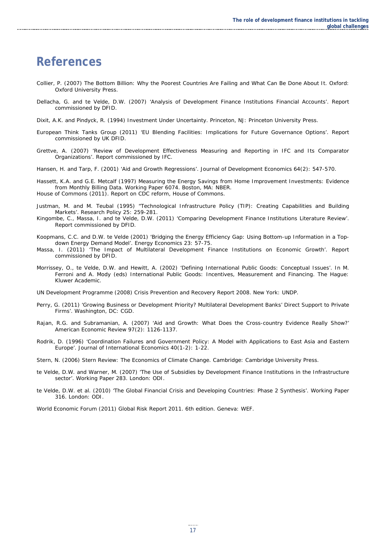### <span id="page-23-0"></span>**References**

- Collier, P. (2007) The Bottom Billion: Why the Poorest Countries Are Failing and What Can Be Done About It. Oxford: Oxford University Press.
- Dellacha, G. and te Velde, D.W. (2007) 'Analysis of Development Finance Institutions Financial Accounts'. Report commissioned by DFID.
- Dixit, A.K. and Pindyck, R. (1994) Investment Under Uncertainty. Princeton, NJ: Princeton University Press.
- European Think Tanks Group (2011) 'EU Blending Facilities: Implications for Future Governance Options'. Report commissioned by UK DFID.
- Grettve, A. (2007) 'Review of Development Effectiveness Measuring and Reporting in IFC and Its Comparator Organizations'. Report commissioned by IFC.
- Hansen, H. and Tarp, F. (2001) 'Aid and Growth Regressions'. Journal of Development Economics 64(2): 547-570.
- Hassett, K.A. and G.E. Metcalf (1997) *Measuring the Energy Savings from Home Improvement Investments: Evidence from Monthly Billing Data*. Working Paper 6074. Boston, MA: NBER. House of Commons (2011). Report on CDC reform, House of Commons.
- Justman, M. and M. Teubal (1995) "Technological Infrastructure Policy (TIP): Creating Capabilities and Building Markets'. *Research Policy* 25: 259-281.
- Kingombe, C., Massa, I. and te Velde, D.W. (2011) 'Comparing Development Finance Institutions Literature Review'. Report commissioned by DFID.
- Koopmans, C.C. and D.W. te Velde (2001) 'Bridging the Energy Efficiency Gap: Using Bottom-up Information in a Topdown Energy Demand Model'. *Energy Economics* 23: 57-75.
- Massa, I. (2011) 'The Impact of Multilateral Development Finance Institutions on Economic Growth'. Report commissioned by DFID.
- Morrissey, O., te Velde, D.W. and Hewitt, A. (2002) 'Defining International Public Goods: Conceptual Issues'. In M. Ferroni and A. Mody (eds) International Public Goods: Incentives, Measurement and Financing. The Hague: Kluwer Academic.
- UN Development Programme (2008) Crisis Prevention and Recovery Report 2008. New York: UNDP.
- Perry, G. (2011) 'Growing Business or Development Priority? Multilateral Development Banks' Direct Support to Private Firms'. Washington, DC: CGD.
- Rajan, R.G. and Subramanian, A. (2007) 'Aid and Growth: What Does the Cross-country Evidence Really Show?' American Economic Review 97(2): 1126-1137.
- Rodrik, D. (1996) 'Coordination Failures and Government Policy: A Model with Applications to East Asia and Eastern Europe'. Journal of International Economics 40(1-2): 1-22.
- Stern, N. (2006) Stern Review: The Economics of Climate Change. Cambridge: Cambridge University Press.
- te Velde, D.W. and Warner, M. (2007) 'The Use of Subsidies by Development Finance Institutions in the Infrastructure sector'. Working Paper 283. London: ODI.
- te Velde, D.W. et al. (2010) 'The Global Financial Crisis and Developing Countries: Phase 2 Synthesis'. Working Paper 316. London: ODI.

World Economic Forum (2011) Global Risk Report 2011. 6th edition. Geneva: WEF.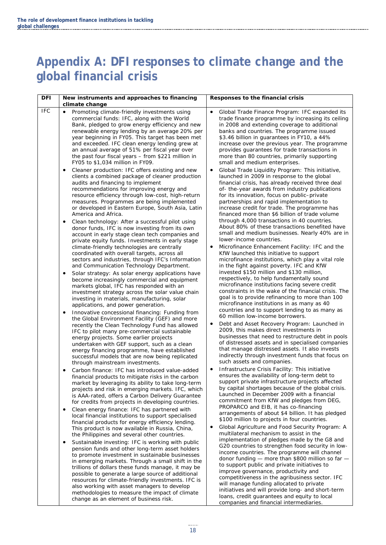### **Appendix A: DFI responses to climate change and the global financial crisis**

| <b>DFI</b> | New instruments and approaches to financing<br>climate change                                                                                                                                                                                                                                                                                                                                                                                                                                                                                                 | Responses to the financial crisis                                                                                                                                                                                                                                                                                                                                                                                                                                                                                                               |
|------------|---------------------------------------------------------------------------------------------------------------------------------------------------------------------------------------------------------------------------------------------------------------------------------------------------------------------------------------------------------------------------------------------------------------------------------------------------------------------------------------------------------------------------------------------------------------|-------------------------------------------------------------------------------------------------------------------------------------------------------------------------------------------------------------------------------------------------------------------------------------------------------------------------------------------------------------------------------------------------------------------------------------------------------------------------------------------------------------------------------------------------|
| <b>IFC</b> | Promoting climate-friendly investments using<br>commercial funds: IFC, along with the World<br>Bank, pledged to grow energy efficiency and new<br>renewable energy lending by an average 20% per<br>year beginning in FY05. This target has been met<br>and exceeded. IFC clean energy lending grew at<br>an annual average of 51% per fiscal year over<br>the past four fiscal years - from \$221 million in<br>FY05 to \$1,034 million in FY09.<br>Cleaner production: IFC offers existing and new<br>٠<br>clients a combined package of cleaner production | Global Trade Finance Program: IFC expanded its<br>٠<br>trade finance programme by increasing its ceiling<br>in 2008 and extending coverage to additional<br>banks and countries. The programme issued<br>\$3.46 billion in guarantees in FY10, a 44%<br>increase over the previous year. The programme<br>provides guarantees for trade transactions in<br>more than 80 countries, primarily supporting<br>small and medium enterprises.<br>Global Trade Liquidity Program: This initiative,<br>٠<br>launched in 2009 in response to the global |
|            | audits and financing to implement<br>recommendations for improving energy and<br>resource efficiency through low-cost, high-return<br>measures. Programmes are being implemented<br>or developed in Eastern Europe, South Asia, Latin<br>America and Africa.                                                                                                                                                                                                                                                                                                  | financial crisis, has already received three deal<br>of-the-year awards from industry publications<br>for its innovation, focus on public-private<br>partnerships and rapid implementation to<br>increase credit for trade. The programme has<br>financed more than \$6 billion of trade volume                                                                                                                                                                                                                                                 |
|            | Clean technology: After a successful pilot using<br>٠<br>donor funds, IFC is now investing from its own<br>account in early stage clean tech companies and<br>private equity funds. Investments in early stage<br>climate-friendly technologies are centrally<br>coordinated with overall targets, across all<br>sectors and industries, through IFC's Information<br>and Communication Technology Department.                                                                                                                                                | through 4,000 transactions in 40 countries.<br>About 80% of these transactions benefited have<br>small and medium businesses. Nearly 40% are in<br>lower-income countries.<br>Microfinance Enhancement Facility: IFC and the<br>KfW launched this initiative to support<br>microfinance institutions, which play a vital role<br>in the fight against poverty. IFC and KfW                                                                                                                                                                      |
|            | Solar strategy: As solar energy applications have<br>٠<br>become increasingly commercial and equipment<br>markets global, IFC has responded with an<br>investment strategy across the solar value chain<br>investing in materials, manufacturing, solar<br>applications, and power generation.<br>Innovative concessional financing: Funding from                                                                                                                                                                                                             | invested \$150 million and \$130 million,<br>respectively, to help fundamentally sound<br>microfinance institutions facing severe credit<br>constraints in the wake of the financial crisis. The<br>goal is to provide refinancing to more than 100<br>microfinance institutions in as many as 40<br>countries and to support lending to as many as                                                                                                                                                                                             |
|            | the Global Environment Facility (GEF) and more<br>recently the Clean Technology Fund has allowed<br>IFC to pilot many pre-commercial sustainable<br>energy projects. Some earlier projects<br>undertaken with GEF support, such as a clean<br>energy financing programme, have established<br>successful models that are now being replicated<br>through mainstream investments.                                                                                                                                                                              | 60 million low-income borrowers.<br>Debt and Asset Recovery Program: Launched in<br>٠<br>2009, this makes direct investments in<br>businesses that need to restructure debt in pools<br>of distressed assets and in specialised companies<br>that manage distressed assets. It also invests<br>indirectly through investment funds that focus on<br>such assets and companies.                                                                                                                                                                  |
|            | Carbon finance: IFC has introduced value-added<br>financial products to mitigate risks in the carbon<br>market by leveraging its ability to take long-term<br>projects and risk in emerging markets. IFC, which<br>is AAA-rated, offers a Carbon Delivery Guarantee<br>for credits from projects in developing countries.                                                                                                                                                                                                                                     | Infrastructure Crisis Facility: This initiative<br>ensures the availability of long-term debt to<br>support private infrastructure projects affected<br>by capital shortages because of the global crisis.<br>Launched in December 2009 with a financial<br>commitment from KfW and pledges from DEG,                                                                                                                                                                                                                                           |
|            | Clean energy finance: IFC has partnered with<br>٠<br>local financial institutions to support specialised<br>financial products for energy efficiency lending.<br>This product is now available in Russia, China,<br>the Philippines and several other countries.                                                                                                                                                                                                                                                                                              | PROPARCO and EIB, it has co-financing<br>arrangements of about \$4 billion. It has pledged<br>\$100 million to projects in four countries.<br>Global Agriculture and Food Security Program: A<br>٠<br>multilateral mechanism to assist in the                                                                                                                                                                                                                                                                                                   |
|            | Sustainable investing: IFC is working with public<br>٠<br>pension funds and other long-term asset holders<br>to promote investment in sustainable businesses<br>in emerging markets. Through a small shift in the<br>trillions of dollars these funds manage, it may be<br>possible to generate a large source of additional<br>resources for climate-friendly investments. IFC is<br>also working with asset managers to develop<br>methodologies to measure the impact of climate<br>change as an element of business risk.                                 | implementation of pledges made by the G8 and<br>G20 countries to strengthen food security in low-<br>income countries. The programme will channel<br>donor funding - more than \$800 million so far -<br>to support public and private initiatives to<br>improve governance, productivity and<br>competitiveness in the agribusiness sector. IFC<br>will manage funding allocated to private<br>initiatives and will provide long- and short-term<br>loans, credit guarantees and equity to local<br>companies and financial intermediaries.    |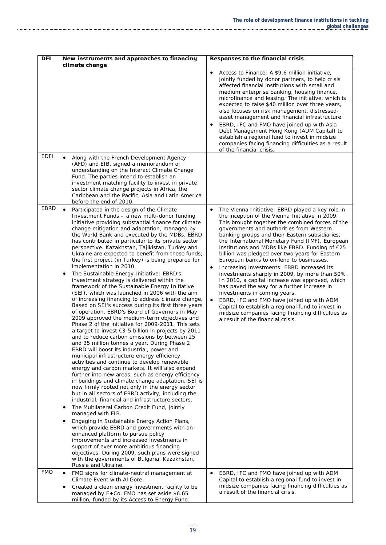| <b>DFI</b>  | New instruments and approaches to financing<br>climate change                                                                                                                                                                                                                                                                                                                                                                                                                                                                                                                                                                                                                                                                                                                                                                                                                                                                                                                                                                                                                                                                                                                                                                                                                                                                                                                                                                                                                                                                                                                                                                                                                                                                                                                                                                                                                                                                                                                                                                                                                  | Responses to the financial crisis                                                                                                                                                                                                                                                                                                                                                                                                                                                                                                                                                                                                                                                                                                                                                                                                                                                                                  |
|-------------|--------------------------------------------------------------------------------------------------------------------------------------------------------------------------------------------------------------------------------------------------------------------------------------------------------------------------------------------------------------------------------------------------------------------------------------------------------------------------------------------------------------------------------------------------------------------------------------------------------------------------------------------------------------------------------------------------------------------------------------------------------------------------------------------------------------------------------------------------------------------------------------------------------------------------------------------------------------------------------------------------------------------------------------------------------------------------------------------------------------------------------------------------------------------------------------------------------------------------------------------------------------------------------------------------------------------------------------------------------------------------------------------------------------------------------------------------------------------------------------------------------------------------------------------------------------------------------------------------------------------------------------------------------------------------------------------------------------------------------------------------------------------------------------------------------------------------------------------------------------------------------------------------------------------------------------------------------------------------------------------------------------------------------------------------------------------------------|--------------------------------------------------------------------------------------------------------------------------------------------------------------------------------------------------------------------------------------------------------------------------------------------------------------------------------------------------------------------------------------------------------------------------------------------------------------------------------------------------------------------------------------------------------------------------------------------------------------------------------------------------------------------------------------------------------------------------------------------------------------------------------------------------------------------------------------------------------------------------------------------------------------------|
|             |                                                                                                                                                                                                                                                                                                                                                                                                                                                                                                                                                                                                                                                                                                                                                                                                                                                                                                                                                                                                                                                                                                                                                                                                                                                                                                                                                                                                                                                                                                                                                                                                                                                                                                                                                                                                                                                                                                                                                                                                                                                                                | Access to Finance: A \$9.6 million initiative,<br>$\bullet$<br>jointly funded by donor partners, to help crisis<br>affected financial institutions with small and<br>medium enterprise banking, housing finance,<br>microfinance and leasing. The initiative, which is<br>expected to raise \$40 million over three years,<br>also focuses on risk management, distressed-<br>asset management and financial infrastructure.<br>EBRD, IFC and FMO have joined up with Asia<br>٠<br>Debt Management Hong Kong (ADM Capital) to<br>establish a regional fund to invest in midsize<br>companies facing financing difficulties as a result<br>of the financial crisis.                                                                                                                                                                                                                                                 |
| <b>EDFI</b> | $\bullet$<br>Along with the French Development Agency<br>(AFD) and EIB, signed a memorandum of<br>understanding on the Interact Climate Change<br>Fund. The parties intend to establish an<br>investment matching facility to invest in private<br>sector climate change projects in Africa, the<br>Caribbean and the Pacific, Asia and Latin America<br>before the end of 2010.                                                                                                                                                                                                                                                                                                                                                                                                                                                                                                                                                                                                                                                                                                                                                                                                                                                                                                                                                                                                                                                                                                                                                                                                                                                                                                                                                                                                                                                                                                                                                                                                                                                                                               |                                                                                                                                                                                                                                                                                                                                                                                                                                                                                                                                                                                                                                                                                                                                                                                                                                                                                                                    |
| <b>EBRD</b> | $\bullet$<br>Participated in the design of the Climate<br>Investment Funds - a new multi-donor funding<br>initiative providing substantial finance for climate<br>change mitigation and adaptation, managed by<br>the World Bank and executed by the MDBs. EBRD<br>has contributed in particular to its private sector<br>perspective. Kazakhstan, Tajikistan, Turkey and<br>Ukraine are expected to benefit from these funds;<br>the first project (in Turkey) is being prepared for<br>implementation in 2010.<br>The Sustainable Energy Initiative: EBRD's<br>٠<br>investment strategy is delivered within the<br>framework of the Sustainable Energy Initiative<br>(SEI), which was launched in 2006 with the aim<br>of increasing financing to address climate change.<br>Based on SEI's success during its first three years<br>of operation, EBRD's Board of Governors in May<br>2009 approved the medium-term objectives and<br>Phase 2 of the initiative for 2009-2011. This sets<br>a target to invest €3-5 billion in projects by 2011<br>and to reduce carbon emissions by between 25<br>and 35 million tonnes a year. During Phase 2<br>EBRD will boost its industrial, power and<br>municipal infrastructure energy efficiency<br>activities and continue to develop renewable<br>energy and carbon markets. It will also expand<br>further into new areas, such as energy efficiency<br>in buildings and climate change adaptation. SEI is<br>now firmly rooted not only in the energy sector<br>but in all sectors of EBRD activity, including the<br>industrial, financial and infrastructure sectors.<br>The Multilateral Carbon Credit Fund, jointly<br>$\bullet$<br>managed with EIB.<br>Engaging in Sustainable Energy Action Plans,<br>$\bullet$<br>which provide EBRD and governments with an<br>enhanced platform to pursue policy<br>improvements and increased investments in<br>support of ever more ambitious financing<br>objectives. During 2009, such plans were signed<br>with the governments of Bulgaria, Kazakhstan,<br>Russia and Ukraine. | $\bullet$<br>The Vienna Initiative: EBRD played a key role in<br>the inception of the Vienna Initiative in 2009.<br>This brought together the combined forces of the<br>governments and authorities from Western<br>banking groups and their Eastern subsidiaries,<br>the International Monetary Fund (IMF), European<br>institutions and MDBs like EBRD. Funding of €25<br>billion was pledged over two years for Eastern<br>European banks to on-lend to businesses.<br>Increasing investments: EBRD increased its<br>investments sharply in 2009, by more than 50%.<br>In 2010, a capital increase was approved, which<br>has paved the way for a further increase in<br>investments in coming years.<br>EBRD, IFC and FMO have joined up with ADM<br>$\bullet$<br>Capital to establish a regional fund to invest in<br>midsize companies facing financing difficulties as<br>a result of the financial crisis. |
| <b>FMO</b>  | FMO signs for climate-neutral management at<br>$\bullet$<br>Climate Event with Al Gore.<br>Created a clean energy investment facility to be<br>٠<br>managed by E+Co. FMO has set aside \$6.65<br>million, funded by its Access to Energy Fund.                                                                                                                                                                                                                                                                                                                                                                                                                                                                                                                                                                                                                                                                                                                                                                                                                                                                                                                                                                                                                                                                                                                                                                                                                                                                                                                                                                                                                                                                                                                                                                                                                                                                                                                                                                                                                                 | EBRD, IFC and FMO have joined up with ADM<br>$\bullet$<br>Capital to establish a regional fund to invest in<br>midsize companies facing financing difficulties as<br>a result of the financial crisis.                                                                                                                                                                                                                                                                                                                                                                                                                                                                                                                                                                                                                                                                                                             |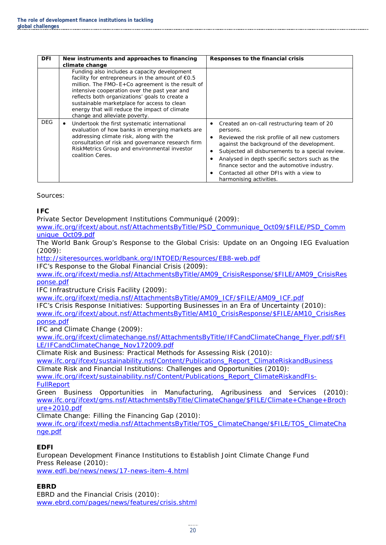| <b>DFI</b> | New instruments and approaches to financing<br>climate change                                                                                                                                                                                                                                                                                                                                                                                                                                                                                                                                                                                                       | Responses to the financial crisis                                                                                                                                                                                                                                                                                                                                                                      |
|------------|---------------------------------------------------------------------------------------------------------------------------------------------------------------------------------------------------------------------------------------------------------------------------------------------------------------------------------------------------------------------------------------------------------------------------------------------------------------------------------------------------------------------------------------------------------------------------------------------------------------------------------------------------------------------|--------------------------------------------------------------------------------------------------------------------------------------------------------------------------------------------------------------------------------------------------------------------------------------------------------------------------------------------------------------------------------------------------------|
| <b>DEG</b> | Funding also includes a capacity development<br>facility for entrepreneurs in the amount of €0.5<br>million. The FMO-E+Co agreement is the result of<br>intensive cooperation over the past year and<br>reflects both organizations' goals to create a<br>sustainable marketplace for access to clean<br>energy that will reduce the impact of climate<br>change and alleviate poverty.<br>Undertook the first systematic international<br>٠<br>evaluation of how banks in emerging markets are<br>addressing climate risk, along with the<br>consultation of risk and governance research firm<br>RiskMetrics Group and environmental investor<br>coalition Ceres. | Created an on-call restructuring team of 20<br>٠<br>persons.<br>Reviewed the risk profile of all new customers<br>٠<br>against the background of the development.<br>Subjected all disbursements to a special review.<br>٠<br>Analysed in depth specific sectors such as the<br>finance sector and the automotive industry.<br>Contacted all other DFIs with a view to<br>٠<br>harmonising activities. |

Sources:

**IFC**

Private Sector Development Institutions Communiqué (2009):

[www.ifc.org/ifcext/about.nsf/AttachmentsByTitle/PSD\\_Communique\\_Oct09/\\$FILE/PSD\\_Comm](http://www.ifc.org/ifcext/about.nsf/AttachmentsByTitle/PSD_Communique_Oct09/$FILE/PSD_Communique_Oct09.pdf) [unique\\_Oct09.pdf](http://www.ifc.org/ifcext/about.nsf/AttachmentsByTitle/PSD_Communique_Oct09/$FILE/PSD_Communique_Oct09.pdf)

The World Bank Group's Response to the Global Crisis: Update on an Ongoing IEG Evaluation (2009):

<http://siteresources.worldbank.org/INTOED/Resources/EB8-web.pdf>

IFC's Response to the Global Financial Crisis (2009):

[www.ifc.org/ifcext/media.nsf/AttachmentsByTitle/AM09\\_CrisisResponse/\\$FILE/AM09\\_CrisisRes](http://www.ifc.org/ifcext/media.nsf/AttachmentsByTitle/AM09_CrisisResponse/$FILE/AM09_CrisisResponse.pdf) [ponse.pdf](http://www.ifc.org/ifcext/media.nsf/AttachmentsByTitle/AM09_CrisisResponse/$FILE/AM09_CrisisResponse.pdf)

IFC Infrastructure Crisis Facility (2009):

[www.ifc.org/ifcext/media.nsf/AttachmentsByTitle/AM09\\_ICF/\\$FILE/AM09\\_ICF.pdf](http://www.ifc.org/ifcext/media.nsf/AttachmentsByTitle/AM09_ICF/$FILE/AM09_ICF.pdf)

IFC's Crisis Response Initiatives: Supporting Businesses in an Era of Uncertainty (2010): [www.ifc.org/ifcext/about.nsf/AttachmentsByTitle/AM10\\_CrisisResponse/\\$FILE/AM10\\_CrisisRes](http://www.ifc.org/ifcext/about.nsf/AttachmentsByTitle/AM10_CrisisResponse/$FILE/AM10_CrisisResponse.pdf) [ponse.pdf](http://www.ifc.org/ifcext/about.nsf/AttachmentsByTitle/AM10_CrisisResponse/$FILE/AM10_CrisisResponse.pdf)

IFC and Climate Change (2009):

[www.ifc.org/ifcext/climatechange.nsf/AttachmentsByTitle/IFCandClimateChange\\_Flyer.pdf/\\$FI](http://www.ifc.org/ifcext/climatechange.nsf/AttachmentsByTitle/IFCandClimateChange_Flyer.pdf/$FILE/IFCandClimateChange_Nov172009.pdf) [LE/IFCandClimateChange\\_Nov172009.pdf](http://www.ifc.org/ifcext/climatechange.nsf/AttachmentsByTitle/IFCandClimateChange_Flyer.pdf/$FILE/IFCandClimateChange_Nov172009.pdf)

Climate Risk and Business: Practical Methods for Assessing Risk (2010):

[www.ifc.org/ifcext/sustainability.nsf/Content/Publications\\_Report\\_ClimateRiskandBusiness](http://www.ifc.org/ifcext/sustainability.nsf/Content/Publications_Report_ClimateRiskandBusiness) Climate Risk and Financial Institutions: Challenges and Opportunities (2010):

[www.ifc.org/ifcext/sustainability.nsf/Content/Publications\\_Report\\_ClimateRiskandFIs-](http://www.ifc.org/ifcext/sustainability.nsf/Content/Publications_Report_ClimateRiskandFIs-FullReport)[FullReport](http://www.ifc.org/ifcext/sustainability.nsf/Content/Publications_Report_ClimateRiskandFIs-FullReport)

Green Business Opportunities in Manufacturing, Agribusiness and Services (2010): [www.ifc.org/ifcext/gms.nsf/AttachmentsByTitle/ClimateChange/\\$FILE/Climate+Change+Broch](http://www.ifc.org/ifcext/gms.nsf/AttachmentsByTitle/ClimateChange/$FILE/Climate+Change+Brochure+2010.pdf) [ure+2010.pdf](http://www.ifc.org/ifcext/gms.nsf/AttachmentsByTitle/ClimateChange/$FILE/Climate+Change+Brochure+2010.pdf)

Climate Change: Filling the Financing Gap (2010):

[www.ifc.org/ifcext/media.nsf/AttachmentsByTitle/TOS\\_ClimateChange/\\$FILE/TOS\\_ClimateCha](http://www.ifc.org/ifcext/media.nsf/AttachmentsByTitle/TOS_ClimateChange/$FILE/TOS_ClimateChange.pdf) [nge.pdf](http://www.ifc.org/ifcext/media.nsf/AttachmentsByTitle/TOS_ClimateChange/$FILE/TOS_ClimateChange.pdf)

#### **EDFI**

European Development Finance Institutions to Establish Joint Climate Change Fund Press Release (2010):

[www.edfi.be/news/news/17-news-item-4.html](http://www.edfi.be/news/news/17-news-item-4.html)

#### **EBRD**

EBRD and the Financial Crisis (2010): [www.ebrd.com/pages/news/features/crisis.shtml](http://www.ebrd.com/pages/news/features/crisis.shtml)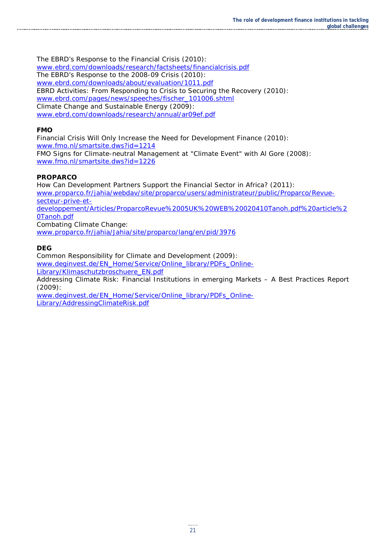The EBRD's Response to the Financial Crisis (2010): [www.ebrd.com/downloads/research/factsheets/financialcrisis.pdf](http://www.ebrd.com/downloads/research/factsheets/financialcrisis.pdf) The EBRD's Response to the 2008-09 Crisis (2010): [www.ebrd.com/downloads/about/evaluation/1011.pdf](http://www.ebrd.com/downloads/about/evaluation/1011.pdf) EBRD Activities: From Responding to Crisis to Securing the Recovery (2010): [www.ebrd.com/pages/news/speeches/fischer\\_101006.shtml](http://www.ebrd.com/pages/news/speeches/fischer_101006.shtml) Climate Change and Sustainable Energy (2009): [www.ebrd.com/downloads/research/annual/ar09ef.pdf](http://www.ebrd.com/downloads/research/annual/ar09ef.pdf)

#### **FMO**

Financial Crisis Will Only Increase the Need for Development Finance (2010): [www.fmo.nl/smartsite.dws?id=1214](http://www.fmo.nl/smartsite.dws?id=1214)

FMO Signs for Climate-neutral Management at "Climate Event" with Al Gore (2008): [www.fmo.nl/smartsite.dws?id=1226](http://www.fmo.nl/smartsite.dws?id=1226)

#### **PROPARCO**

How Can Development Partners Support the Financial Sector in Africa? (2011): [www.proparco.fr/jahia/webdav/site/proparco/users/administrateur/public/Proparco/Revue](http://www.proparco.fr/jahia/webdav/site/proparco/users/administrateur/public/Proparco/Revue-secteur-prive-et-developpement/Articles/ProparcoRevue%2005UK%20WEB%20020410Tanoh.pdf%20article%20Tanoh.pdf)[secteur-prive-et](http://www.proparco.fr/jahia/webdav/site/proparco/users/administrateur/public/Proparco/Revue-secteur-prive-et-developpement/Articles/ProparcoRevue%2005UK%20WEB%20020410Tanoh.pdf%20article%20Tanoh.pdf)[developpement/Articles/ProparcoRevue%2005UK%20WEB%20020410Tanoh.pdf%20article%2](http://www.proparco.fr/jahia/webdav/site/proparco/users/administrateur/public/Proparco/Revue-secteur-prive-et-developpement/Articles/ProparcoRevue%2005UK%20WEB%20020410Tanoh.pdf%20article%20Tanoh.pdf) [0Tanoh.pdf](http://www.proparco.fr/jahia/webdav/site/proparco/users/administrateur/public/Proparco/Revue-secteur-prive-et-developpement/Articles/ProparcoRevue%2005UK%20WEB%20020410Tanoh.pdf%20article%20Tanoh.pdf) Combating Climate Change:

[www.proparco.fr/jahia/Jahia/site/proparco/lang/en/pid/3976](http://www.proparco.fr/jahia/Jahia/site/proparco/lang/en/pid/3976)

#### **DEG**

Common Responsibility for Climate and Development (2009): [www.deginvest.de/EN\\_Home/Service/Online\\_library/PDFs\\_Online-](http://www.deginvest.de/EN_Home/Service/Online_library/PDFs_Online-Library/Klimaschutzbroschuere_EN.pdf)[Library/Klimaschutzbroschuere\\_EN.pdf](http://www.deginvest.de/EN_Home/Service/Online_library/PDFs_Online-Library/Klimaschutzbroschuere_EN.pdf)

Addressing Climate Risk: Financial Institutions in emerging Markets – A Best Practices Report (2009):

[www.deginvest.de/EN\\_Home/Service/Online\\_library/PDFs\\_Online-](http://www.deginvest.de/EN_Home/Service/Online_library/PDFs_Online-Library/AddressingClimateRisk.pdf)[Library/AddressingClimateRisk.pdf](http://www.deginvest.de/EN_Home/Service/Online_library/PDFs_Online-Library/AddressingClimateRisk.pdf)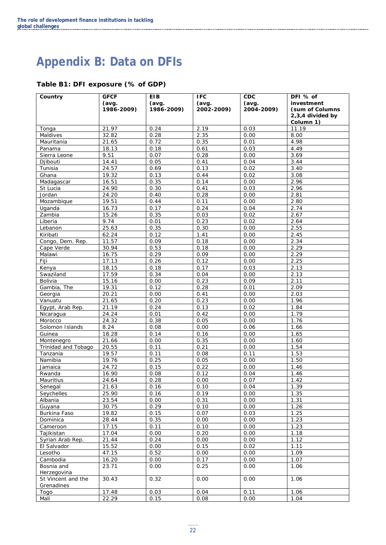## **Appendix B: Data on DFIs**

#### **Table B1: DFI exposure (% of GDP)**

| Country             | <b>GFCF</b> | <b>EIB</b> | <b>IFC</b> | CDC        | DFI % of          |
|---------------------|-------------|------------|------------|------------|-------------------|
|                     | (avg.       | (avg.      | (avg.      | (avg.      | investment        |
|                     | 1986-2009)  | 1986-2009) | 2002-2009) | 2004-2009) | (sum of Columns   |
|                     |             |            |            |            | 2,3,4 divided by  |
|                     |             |            |            |            | Column 1)         |
| Tonga               | 21.97       | 0.24       | 2.19       | 0.03       | 11.19             |
| Maldives            | 32.82       | 0.28       | 2.35       | 0.00       | 8.00              |
|                     |             |            |            |            |                   |
| Mauritania          | 21.65       | 0.72       | 0.35       | 0.01       | 4.98              |
| Panama              | 18.13       | 0.18       | 0.61       | 0.03       | 4.49              |
| Sierra Leone        | 9.51        | 0.07       | 0.28       | 0.00       | 3.69              |
| Djibouti            | 14.41       | 0.05       | 0.41       | 0.04       | 3.44              |
| Tunisia             | 24.57       | 0.69       | 0.13       | 0.02       | 3.40              |
| Ghana               | 19.32       | 0.13       | 0.44       | 0.02       | 3.08              |
| Madagascar          | 16.51       | 0.35       | 0.14       | 0.00       | 2.96              |
| St Lucia            | 24.90       | 0.30       | 0.41       | 0.03       | 2.96              |
| Jordan              | 24.20       | 0.40       | 0.28       | 0.00       | 2.81              |
| Mozambique          | 19.51       | 0.44       | 0.11       | 0.00       | 2.80              |
| Uganda              | 16.73       | 0.17       | 0.24       | 0.04       | 2.74              |
| Zambia              | 15.26       | 0.35       | 0.03       | 0.02       | 2.67              |
| Liberia             | 9.74        | 0.01       | 0.23       | 0.02       | 2.64              |
| Lebanon             | 25.63       | 0.35       | 0.30       | 0.00       | $2.\overline{55}$ |
| Kiribati            | 62.24       | 0.12       | 1.41       | 0.00       | 2.45              |
|                     | 11.57       |            |            |            |                   |
| Congo, Dem. Rep.    |             | 0.09       | 0.18       | 0.00       | 2.34              |
| Cape Verde          | 30.94       | 0.53       | 0.18       | 0.00       | 2.29              |
| Malawi              | 16.75       | 0.29       | 0.09       | 0.00       | 2.29              |
| Fiji                | 17.13       | 0.26       | 0.12       | 0.00       | 2.25              |
| Kenya               | 18.15       | 0.18       | 0.17       | 0.03       | 2.13              |
| Swaziland           | 17.59       | 0.34       | 0.04       | 0.00       | 2.13              |
| Bolivia             | 15.16       | 0.00       | 0.23       | 0.09       | 2.11              |
| Gambia, The         | 19.31       | 0.12       | 0.28       | 0.01       | 2.09              |
| Georgia             | 20.21       | 0.00       | 0.41       | 0.00       | 2.03              |
| Vanuatu             | 21.65       | 0.20       | 0.23       | 0.00       | 1.96              |
| Egypt, Arab Rep.    | 21.19       | 0.24       | 0.13       | 0.02       | 1.84              |
| Nicaragua           | 24.24       | 0.01       | 0.42       | 0.00       | 1.79              |
| Morocco             | 24.32       | 0.38       | 0.05       | 0.00       | 1.76              |
| Solomon Islands     | 8.24        | 0.08       | 0.00       | 0.06       | 1.66              |
| Guinea              | 18.28       | 0.14       | 0.16       | 0.00       | 1.65              |
| Montenegro          | 21.66       | 0.00       | 0.35       | 0.00       | 1.60              |
| Trinidad and Tobago | 20.55       | 0.11       | 0.21       | 0.00       | 1.54              |
|                     |             |            |            |            |                   |
| Tanzania            | 19.57       | 0.11       | 0.08       | 0.11       | 1.53              |
| Namibia             | 19.76       | 0.25       | 0.05       | 0.00       | 1.50              |
| Jamaica             | 24.72       | 0.15       | 0.22       | 0.00       | 1.46              |
| Rwanda              | 16.90       | 0.08       | 0.12       | 0.04       | 1.46              |
| Mauritius           | 24.64       | 0.28       | 0.00       | 0.07       | 1.42              |
| Senegal             | 21.63       | 0.16       | 0.10       | 0.04       | 1.39              |
| Seychelles          | 25.90       | 0.16       | 0.19       | 0.00       | 1.35              |
| Albania             | 23.54       | 0.00       | 0.31       | 0.00       | 1.31              |
| Guyana              | 30.75       | 0.29       | 0.10       | 0.00       | 1.26              |
| Burkina Faso        | 19.82       | 0.15       | 0.07       | 0.03       | 1.25              |
| Dominica            | 28.44       | 0.35       | 0.00       | 0.00       | 1.23              |
| Cameroon            | 17.15       | 0.11       | 0.10       | 0.00       | 1.23              |
| Tajikistan          | 17.04       | 0.00       | 0.20       | 0.00       | 1.18              |
| Syrian Arab Rep.    | 21.44       | 0.24       | 0.00       | 0.00       | 1.12              |
| El Salvador         | 15.52       | 0.00       | 0.15       | 0.02       | 1.11              |
| Lesotho             | 47.15       | 0.52       | 0.00       | 0.00       | 1.09              |
|                     |             |            |            |            |                   |
| Cambodia            | 16.20       | 0.00       | 0.17       | 0.00       | 1.07              |
| Bosnia and          | 23.71       | 0.00       | 0.25       | 0.00       | 1.06              |
| Herzegovina         |             |            |            |            |                   |
| St Vincent and the  | 30.43       | 0.32       | 0.00       | 0.00       | 1.06              |
| Grenadines          |             |            |            |            |                   |
| Togo                | 17.48       | 0.03       | 0.04       | 0.11       | 1.06              |
| Mali                | 22.29       | 0.15       | 0.08       | 0.00       | 1.04              |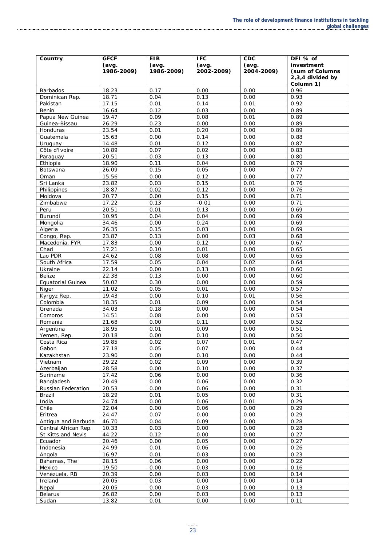| Country               | <b>GFCF</b>    | <b>EIB</b>   | <b>IFC</b>   | <b>CDC</b>   | DFI % of          |
|-----------------------|----------------|--------------|--------------|--------------|-------------------|
|                       | (avg.          | (avg.        | (avg.        | (avg.        | investment        |
|                       | 1986-2009)     | 1986-2009)   | 2002-2009)   | 2004-2009)   | (sum of Columns)  |
|                       |                |              |              |              | 2,3,4 divided by  |
| Barbados              | 18.23          | 0.17         | 0.00         | 0.00         | Column 1)<br>0.96 |
| Dominican Rep.        | 18.71          | 0.04         | 0.13         | 0.00         | 0.93              |
| Pakistan              | 17.15          | 0.01         | 0.14         | 0.01         | 0.92              |
| <b>Benin</b>          | 16.64          | 0.12         | 0.03         | 0.00         | 0.89              |
| Papua New Guinea      | 19.47          | 0.09         | 0.08         | 0.01         | 0.89              |
| Guinea-Bissau         | 26.29          | 0.23         | 0.00         | 0.00         | 0.89              |
| Honduras              | 23.54          | 0.01         | 0.20         | 0.00         | 0.89              |
| Guatemala             | 15.63          | 0.00         | 0.14         | 0.00         | 0.88              |
| Uruguay               | 14.48          | 0.01         | 0.12         | 0.00         | 0.87              |
| Côte d'Ivoire         | 10.89          | 0.07         | 0.02         | 0.00         | 0.83              |
| Paraguay              | 20.51          | 0.03         | 0.13         | 0.00         | 0.80              |
| Ethiopia              | 18.90          | 0.11         | 0.04         | 0.00         | 0.79              |
| <b>Botswana</b>       | 26.09          | 0.15         | 0.05         | 0.00         | 0.77              |
| Oman                  | 15.56          | 0.00         | 0.12         | 0.00         | 0.77              |
| Sri Lanka             | 23.82          | 0.03         | 0.15         | 0.01         | 0.76              |
| Philippines           | 18.87          | 0.02         | 0.12         | 0.00         | 0.76              |
| Moldova               | 20.77          | 0.00         | 0.15         | 0.00         | 0.71              |
| Zimbabwe              | 17.22          | 0.13         | $-0.01$      | 0.00         | 0.71              |
| Peru<br>Burundi       | 20.51<br>10.95 | 0.01<br>0.04 | 0.13         | 0.00<br>0.00 | 0.69<br>0.69      |
| Mongolia              | 34.46          | 0.00         | 0.04<br>0.24 | 0.00         | 0.69              |
| Algeria               | 26.35          | 0.15         | 0.03         | 0.00         | 0.69              |
| Congo, Rep.           | 23.87          | 0.13         | 0.00         | 0.03         | 0.68              |
| Macedonia, FYR        | 17.83          | 0.00         | 0.12         | 0.00         | 0.67              |
| Chad                  | 17.21          | 0.10         | 0.01         | 0.00         | 0.65              |
| Lao PDR               | 24.62          | 0.08         | 0.08         | 0.00         | 0.65              |
| South Africa          | 17.59          | 0.05         | 0.04         | 0.02         | 0.64              |
| Ukraine               | 22.14          | 0.00         | 0.13         | 0.00         | 0.60              |
| <b>Belize</b>         | 22.38          | 0.13         | 0.00         | 0.00         | 0.60              |
| Equatorial Guinea     | 50.02          | 0.30         | 0.00         | 0.00         | 0.59              |
| Niger                 | 11.02          | 0.05         | 0.01         | 0.00         | 0.57              |
| Kyrgyz Rep.           | 19.43          | 0.00         | 0.10         | 0.01         | 0.56              |
| Colombia              | 18.35          | 0.01         | 0.09         | 0.00         | 0.54              |
| Grenada               | 34.03          | 0.18         | 0.00         | 0.00         | 0.54              |
| Comoros               | 14.51          | 0.08         | 0.00         | 0.00         | 0.53              |
| Romania               | 21.68          | 0.00         | 0.11         | 0.00         | 0.52              |
| Argentina             | 18.95          | 0.01         | 0.09         | 0.00         | 0.51              |
| Yemen, Rep.           | 20.18          | 0.00         | 0.10         | 0.00         | 0.50              |
| Costa Rica            | 19.85          | 0.02         | 0.07         | 0.01         | 0.47              |
| Gabon                 | 27.18          | 0.05         | 0.07         | 0.00         | 0.44              |
| Kazakhstan<br>Vietnam | 23.90          | 0.00         | 0.10         | 0.00         | 0.44              |
| Azerbaijan            | 29.22<br>28.58 | 0.02<br>0.00 | 0.09<br>0.10 | 0.00<br>0.00 | 0.39<br>0.37      |
| Suriname              | 17.42          | 0.06         | 0.00         | 0.00         | 0.36              |
| Bangladesh            | 20.49          | 0.00         | 0.06         | 0.00         | 0.32              |
| Russian Federation    | 20.53          | 0.00         | 0.06         | 0.00         | 0.31              |
| Brazil                | 18.29          | 0.01         | 0.05         | 0.00         | 0.31              |
| India                 | 24.74          | 0.00         | 0.06         | 0.01         | 0.29              |
| Chile                 | 22.04          | 0.00         | 0.06         | 0.00         | 0.29              |
| Eritrea               | 24.47          | 0.07         | 0.00         | 0.00         | 0.29              |
| Antigua and Barbuda   | 46.70          | 0.04         | 0.09         | 0.00         | 0.28              |
| Central African Rep.  | 10.33          | 0.03         | 0.00         | 0.00         | 0.28              |
| St Kitts and Nevis    | 44.22          | 0.12         | 0.00         | 0.00         | 0.27              |
| Ecuador               | 20.46          | 0.00         | 0.05         | 0.00         | 0.27              |
| Indonesia             | 24.99          | 0.01         | 0.06         | 0.00         | 0.26              |
| Angola                | 16.97          | 0.01         | 0.03         | 0.00         | 0.23              |
| Bahamas, The          | 28.15          | 0.06         | 0.00         | 0.00         | 0.22              |
| Mexico                | 19.50          | 0.00         | 0.03         | 0.00         | 0.16              |
| Venezuela, RB         | 20.39          | 0.00         | 0.03         | 0.00         | 0.14              |
| Ireland               | 20.05          | 0.03         | 0.00         | 0.00         | 0.14              |
| Nepal                 | 20.05          | 0.00         | 0.03         | 0.00         | 0.13              |
| <b>Belarus</b>        | 26.82          | 0.00         | 0.03         | 0.00         | 0.13              |
| Sudan                 | 13.82          | 0.01         | 0.00         | 0.00         | 0.11              |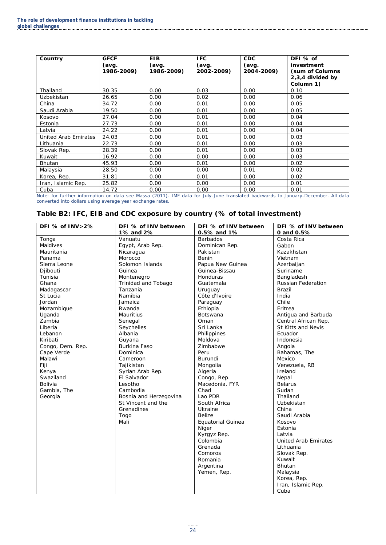| Country              | <b>GFCF</b><br>(avg.<br>1986-2009) | <b>EIB</b><br>(avg.<br>1986-2009) | <b>IFC</b><br>(avg.<br>2002-2009) | <b>CDC</b><br>(avg.<br>2004-2009) | DFI % of<br>investment<br>(sum of Columns)<br>2,3,4 divided by<br>Column 1) |
|----------------------|------------------------------------|-----------------------------------|-----------------------------------|-----------------------------------|-----------------------------------------------------------------------------|
| Thailand             | 30.35                              | 0.00                              | 0.03                              | 0.00                              | 0.10                                                                        |
| Uzbekistan           | 26.65                              | 0.00                              | 0.02                              | 0.00                              | 0.06                                                                        |
| China                | 34.72                              | 0.00                              | 0.01                              | 0.00                              | 0.05                                                                        |
| Saudi Arabia         | 19.50                              | 0.00                              | 0.01                              | 0.00                              | 0.05                                                                        |
| Kosovo               | 27.04                              | 0.00                              | 0.01                              | 0.00                              | 0.04                                                                        |
| Estonia              | 27.73                              | 0.00                              | 0.01                              | 0.00                              | 0.04                                                                        |
| Latvia               | 24.22                              | 0.00                              | 0.01                              | 0.00                              | 0.04                                                                        |
| United Arab Emirates | 24.03                              | 0.00                              | 0.01                              | 0.00                              | 0.03                                                                        |
| Lithuania            | 22.73                              | 0.00                              | 0.01                              | 0.00                              | 0.03                                                                        |
| Slovak Rep.          | 28.39                              | 0.00                              | 0.01                              | 0.00                              | 0.03                                                                        |
| Kuwait               | 16.92                              | 0.00                              | 0.00                              | 0.00                              | 0.03                                                                        |
| <b>Bhutan</b>        | 45.93                              | 0.00                              | 0.01                              | 0.00                              | 0.02                                                                        |
| Malaysia             | 28.50                              | 0.00                              | 0.00                              | 0.01                              | 0.02                                                                        |
| Korea, Rep.          | 31.81                              | 0.00                              | 0.01                              | 0.00                              | 0.02                                                                        |
| Iran, Islamic Rep.   | 25.82                              | 0.00                              | 0.00                              | 0.00                              | 0.01                                                                        |
| Cuba                 | 14.72                              | 0.00                              | 0.00                              | 0.00                              | 0.01                                                                        |

Note: for further information on data see Massa (2011). IMF data for July-June translated backwards to January-December. All data converted into dollars using average year exchange rates.

#### **Table B2: IFC, EIB and CDC exposure by country (% of total investment)**

| DFI % of INV>2%  | DFI % of INV between   | DFI % of INV between | DFI % of INV between        |
|------------------|------------------------|----------------------|-----------------------------|
|                  | 1% and 2%              | 0.5% and 1%          | 0 and 0.5%                  |
| Tonga            | Vanuatu                | <b>Barbados</b>      | Costa Rica                  |
| Maldives         | Egypt, Arab Rep.       | Dominican Rep.       | Gabon                       |
| Mauritania       | Nicaragua              | Pakistan             | Kazakhstan                  |
| Panama           | Morocco                | Benin                | Vietnam                     |
| Sierra Leone     | Solomon Islands        | Papua New Guinea     | Azerbaijan                  |
| Diibouti         | Guinea                 | Guinea-Bissau        | Suriname                    |
| Tunisia          | Montenegro             | Honduras             | Bangladesh                  |
| Ghana            | Trinidad and Tobago    | Guatemala            | <b>Russian Federation</b>   |
| Madagascar       | Tanzania               | Uruguay              | <b>Brazil</b>               |
| St Lucia         | Namibia                | Côte d'Ivoire        | India                       |
| Jordan           | Jamaica                | Paraguay             | Chile                       |
| Mozambique       | Rwanda                 | Ethiopia             | Eritrea                     |
| Uganda           | <b>Mauritius</b>       | Botswana             | Antigua and Barbuda         |
| Zambia           | Senegal                | Oman                 | Central African Rep.        |
| Liberia          | Seychelles             | Sri Lanka            | St Kitts and Nevis          |
| Lebanon          | Albania                | Philippines          | Ecuador                     |
| Kiribati         | Guyana                 | Moldova              | Indonesia                   |
| Congo, Dem. Rep. | Burkina Faso           | Zimbabwe             | Angola                      |
| Cape Verde       | Dominica               | Peru                 | Bahamas, The                |
| Malawi           | Cameroon               | Burundi              | Mexico                      |
| Fiji             | Tajikistan             | Mongolia             | Venezuela, RB               |
| Kenya            | Syrian Arab Rep.       | Algeria              | Ireland                     |
| Swaziland        | El Salvador            | Congo, Rep.          | Nepal                       |
| Bolivia          | Lesotho                | Macedonia, FYR       | <b>Belarus</b>              |
| Gambia, The      | Cambodia               | Chad                 | Sudan                       |
| Georgia          | Bosnia and Herzegovina | Lao PDR              | Thailand                    |
|                  | St Vincent and the     | South Africa         | Uzbekistan                  |
|                  | Grenadines             | Ukraine              | China                       |
|                  | Togo                   | <b>Belize</b>        | Saudi Arabia                |
|                  | Mali                   | Equatorial Guinea    | Kosovo                      |
|                  |                        | Niger                | Estonia                     |
|                  |                        | Kyrgyz Rep.          | Latvia                      |
|                  |                        | Colombia             | <b>United Arab Emirates</b> |
|                  |                        | Grenada              | Lithuania                   |
|                  |                        | Comoros              | Slovak Rep.                 |
|                  |                        | Romania              | Kuwait                      |
|                  |                        | Argentina            | <b>Bhutan</b>               |
|                  |                        | Yemen, Rep.          | Malaysia                    |
|                  |                        |                      | Korea, Rep.                 |
|                  |                        |                      | Iran, Islamic Rep.          |
|                  |                        |                      | Cuba                        |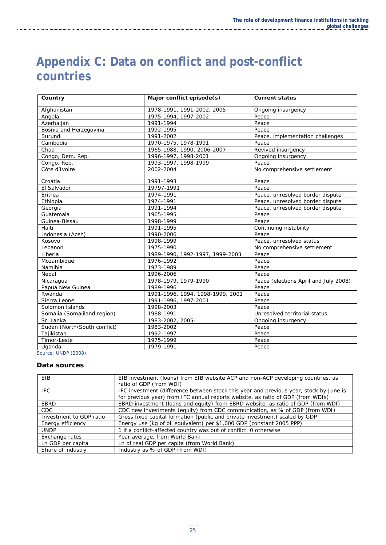### **Appendix C: Data on conflict and post-conflict countries**

| Country                      | Major conflict episode(s)        | <b>Current status</b>                 |
|------------------------------|----------------------------------|---------------------------------------|
| Afghanistan                  | 1978-1991, 1991-2002, 2005       | Ongoing insurgency                    |
| Angola                       | 1975-1994, 1997-2002             | Peace                                 |
| Azerbaijan                   | 1991-1994                        | Peace                                 |
| Bosnia and Herzegovina       | 1992-1995                        | Peace                                 |
| <b>Burundi</b>               | 1991-2002                        | Peace, implementation challenges      |
| Cambodia                     | 1970-1975, 1978-1991             | Peace                                 |
| Chad                         | 1965-1988, 1990, 2006-2007       | Revived insurgency                    |
| Congo, Dem. Rep.             | 1996-1997, 1998-2001             | Ongoing insurgency                    |
| Congo, Rep.                  | 1993-1997, 1998-1999             | Peace                                 |
| Côte d'Ivoire                | 2002-2004                        | No comprehensive settlement           |
| Croatia                      | 1991-1993                        | Peace                                 |
| El Salvador                  | 19797-1991                       | Peace                                 |
| Eritrea                      | 1974-1991                        | Peace, unresolved border dispute      |
| Ethiopia                     | 1974-1991                        | Peace, unresolved border dispute      |
| Georgia                      | 1991-1994                        | Peace, unresolved border dispute      |
| Guatemala                    | 1965-1995                        | Peace                                 |
| Guinea-Bissau                | 1998-1999                        | Peace                                 |
| Haiti                        | 1991-1995                        | Continuing instability                |
| Indonesia (Aceh)             | 1990-2006                        | Peace                                 |
| Kosovo                       | 1998-1999                        | Peace, unresolved status              |
| Lebanon                      | 1975-1990                        | No comprehensive settlement           |
| Liberia                      | 1989-1990, 1992-1997, 1999-2003  | Peace                                 |
| Mozambique                   | 1976-1992                        | Peace                                 |
| Namibia                      | 1973-1989                        | Peace                                 |
| Nepal                        | 1996-2006                        | Peace                                 |
| Nicaragua                    | 1978-1979, 1979-1990             | Peace (elections April and July 2008) |
| Papua New Guinea             | 1989-1996                        | Peace                                 |
| Rwanda                       | 1991-1996, 1994, 1998-1999, 2001 | Peace                                 |
| Sierra Leone                 | 1991-1996, 1997-2001             | Peace                                 |
| Solomon Islands              | 1998-2003                        | Peace                                 |
| Somalia (Somaliland region)  | 1988-1991                        | Unresolved territorial status         |
| Sri Lanka                    | 1983-2002, 2005-                 | Ongoing insurgency                    |
| Sudan (North/South conflict) | 1983-2002                        | Peace                                 |
| Tajikistan                   | 1992-1997                        | Peace                                 |
| Timor-Leste                  | 1975-1999                        | Peace                                 |
| Uganda<br>$-1$ UNIDD (2000)  | 1979-1991                        | Peace                                 |

Source: UNDP (2008).

#### **Data sources**

| EIB                     | EIB investment (loans) from EIB website ACP and non-ACP developing countries, as<br>ratio of GDP (from WDI)                                                               |
|-------------------------|---------------------------------------------------------------------------------------------------------------------------------------------------------------------------|
| IFC.                    | IFC investment (difference between stock this year and previous year, stock by June is<br>for previous year) from IFC annual reports website, as ratio of GDP (from WDIs) |
| EBRD                    | EBRD investment (loans and equity) from EBRD website, as ratio of GDP (from WDI)                                                                                          |
| CDC.                    | CDC new investments (equity) from CDC communication, as % of GDP (from WDI)                                                                                               |
| Investment to GDP ratio | Gross fixed capital formation (public and private investment) scaled by GDP                                                                                               |
| Energy efficiency       | Energy use (kg of oil equivalent) per \$1,000 GDP (constant 2005 PPP)                                                                                                     |
| <b>UNDP</b>             | 1 if a conflict-affected country was out of conflict, 0 otherwise                                                                                                         |
| Exchange rates          | Year average, from World Bank                                                                                                                                             |
| Ln GDP per capita       | Ln of real GDP per capita (from World Bank)                                                                                                                               |
| Share of industry       | Industry as % of GDP (from WDI)                                                                                                                                           |